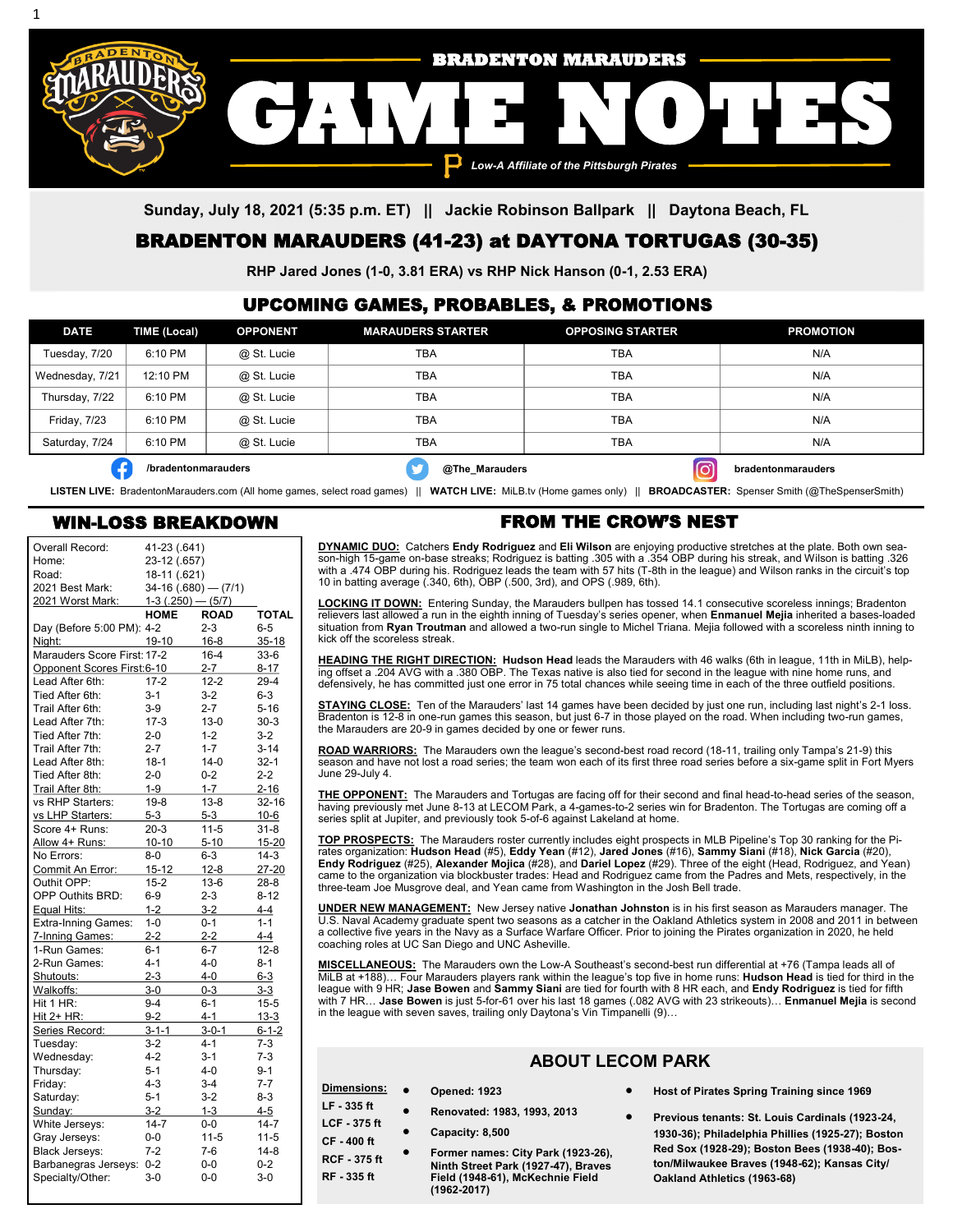

**Sunday, July 18, 2021 (5:35 p.m. ET) || Jackie Robinson Ballpark || Daytona Beach, FL**

# BRADENTON MARAUDERS (41-23) at DAYTONA TORTUGAS (30-35)

**RHP Jared Jones (1-0, 3.81 ERA) vs RHP Nick Hanson (0-1, 2.53 ERA)**

#### UPCOMING GAMES, PROBABLES, & PROMOTIONS

| <b>DATE</b>         | TIME (Local)        | <b>OPPONENT</b> | <b>MARAUDERS STARTER</b> | <b>OPPOSING STARTER</b> | <b>PROMOTION</b>   |
|---------------------|---------------------|-----------------|--------------------------|-------------------------|--------------------|
| Tuesday, 7/20       | 6:10 PM             | @ St. Lucie     | TBA                      | TBA                     | N/A                |
| Wednesday, 7/21     | 12:10 PM            | @ St. Lucie     | <b>TBA</b>               | <b>TBA</b>              | N/A                |
| Thursday, 7/22      | 6:10 PM             | @ St. Lucie     | <b>TBA</b>               | TBA                     | N/A                |
| <b>Friday, 7/23</b> | 6:10 PM             | @ St. Lucie     | TBA                      | <b>TBA</b>              | N/A                |
| Saturday, 7/24      | 6:10 PM             | @ St. Lucie     | TBA                      | TBA                     | N/A                |
|                     | /bradentonmarauders |                 | @The_Marauders           |                         | bradentonmarauders |

**LISTEN LIVE:** BradentonMarauders.com (All home games, select road games) || **WATCH LIVE:** MiLB.tv (Home games only) || **BROADCASTER:** Spenser Smith (@TheSpenserSmith)

#### WIN-LOSS BREAKDOWN

1

| Overall Record:             | 41-23 (.641)          |             |              |
|-----------------------------|-----------------------|-------------|--------------|
| Home:                       | 23-12 (.657)          |             |              |
| Road:                       | 18-11 (.621)          |             |              |
| 2021 Best Mark:             | $34-16(.680) - (7/1)$ |             |              |
| 2021 Worst Mark:            | $1-3(.250) - (5/7)$   |             |              |
|                             | <b>HOME</b>           | <b>ROAD</b> | <b>TOTAL</b> |
| Day (Before 5:00 PM): 4-2   |                       | $2 - 3$     | $6 - 5$      |
| Niaht:                      | 19-10                 | $16 - 8$    | 35-18        |
| Marauders Score First: 17-2 |                       | $16 - 4$    | $33-6$       |
| Opponent Scores First:6-10  |                       | $2 - 7$     | $8 - 17$     |
| Lead After 6th:             | $17 - 2$              | $12 - 2$    | $29 - 4$     |
| Tied After 6th:             | $3 - 1$               | $3 - 2$     | $6 - 3$      |
| Trail After 6th:            | $3-9$                 | $2 - 7$     | $5 - 16$     |
| Lead After 7th:             | $17 - 3$              | $13 - 0$    | $30-3$       |
| Tied After 7th:             | $2 - 0$               | $1 - 2$     | $3-2$        |
| Trail After 7th:            | $2 - 7$               | $1 - 7$     | $3 - 14$     |
| Lead After 8th:             | $18-1$                | $14-0$      | $32-1$       |
|                             |                       |             |              |
| Tied After 8th:             | $2 - 0$               | $0 - 2$     | $2 - 2$      |
| Trail After 8th:            | $1-9$                 | $1 - 7$     | $2 - 16$     |
| vs RHP Starters:            | $19-8$                | $13 - 8$    | $32 - 16$    |
| vs LHP Starters:            | 5-3                   | 5-3         | $10-6$       |
| Score 4+ Runs:              | $20-3$                | $11 - 5$    | $31 - 8$     |
| Allow 4+ Runs:              | $10 - 10$             | $5 - 10$    | 15-20        |
| No Errors:                  | $8-0$                 | $6 - 3$     | $14-3$       |
| Commit An Error:            | $15 - 12$             | $12 - 8$    | 27-20        |
| Outhit OPP:                 | $15 - 2$              | $13-6$      | $28-8$       |
| <b>OPP Outhits BRD:</b>     | $6-9$                 | $2 - 3$     | $8 - 12$     |
| Equal Hits:                 | $1 - 2$               | $3-2$       | 4-4          |
| Extra-Inning Games:         | $1 - 0$               | $0 - 1$     | $1 - 1$      |
| 7-Inning Games:             | $2 - 2$               | $2 - 2$     | $4 - 4$      |
| 1-Run Games:                | $6 - 1$               | $6 - 7$     | $12 - 8$     |
| 2-Run Games:                | $4 - 1$               | $4 - 0$     | $8 - 1$      |
| Shutouts:                   | $2 - 3$               | $4 - 0$     | $6 - 3$      |
| Walkoffs:                   | $3-0$                 | $0 - 3$     | $3 - 3$      |
| Hit 1 HR:                   | $9 - 4$               | $6 - 1$     | $15 - 5$     |
| Hit 2+ HR:                  | $9 - 2$               | $4 - 1$     | $13 - 3$     |
| Series Record:              | $3 - 1 - 1$           | $3 - 0 - 1$ | $6 - 1 - 2$  |
| Tuesday:                    | $3 - 2$               | $4 - 1$     | $7-3$        |
| Wednesday:                  | $4-2$                 | $3 - 1$     | $7-3$        |
| Thursday:                   | $5 - 1$               | 4-0         | $9 - 1$      |
| Friday:                     | $4 - 3$               | $3 - 4$     | $7 - 7$      |
| Saturday:                   | $5 - 1$               | $3-2$       | $8 - 3$      |
| Sunday:                     | $3-2$                 | $1 - 3$     | 4-5          |
| White Jerseys:              | $14 - 7$              | $0-0$       | $14 - 7$     |
| Gray Jerseys:               | $0-0$                 | $11 - 5$    | $11 - 5$     |
| <b>Black Jerseys:</b>       | $7-2$                 | $7-6$       | $14 - 8$     |
| Barbanegras Jerseys:        | $0 - 2$               | $0-0$       | $0 - 2$      |
| Specialty/Other:            | $3 - 0$               | $0 - 0$     | $3 - 0$      |
|                             |                       |             |              |

### FROM THE CROW'S NEST

<u>DYNAMIC DUO:</u> Catchers **Endy Rodriguez** and **Eli Wilson** are enjoying productive stretches at the plate. Both own sea-<br>son-high 15-game on-base streaks; Rodriguez is batting .305 with a .354 OBP during his streak, and Wi with a .474 OBP during his. Rodriguez leads the team with 57 hits (T-8th in the league) and Wilson ranks in the circuit's top 10 in batting average (.340, 6th), OBP (.500, 3rd), and OPS (.989, 6th).

**LOCKING IT DOWN:** Entering Sunday, the Marauders bullpen has tossed 14.1 consecutive scoreless innings; Bradenton relievers last allowed a run in the eighth inning of Tuesday's series opener, when **Enmanuel Mejia** inherited a bases-loaded situation from **Ryan Troutman** and allowed a two-run single to Michel Triana. Mejia followed with a scoreless ninth inning to kick off the scoreless streak.

**HEADING THE RIGHT DIRECTION: Hudson Head** leads the Marauders with 46 walks (6th in league, 11th in MiLB), helping offset a .204 AVG with a .380 OBP. The Texas native is also tied for second in the league with nine home runs, and defensively, he has committed just one error in 75 total chances while seeing time in each of the three outfield positions.

**STAYING CLOSE:** Ten of the Marauders' last 14 games have been decided by just one run, including last night's 2-1 loss. Bradenton is 12-8 in one-run games this season, but just 6-7 in those played on the road. When including two-run games, the Marauders are 20-9 in games decided by one or fewer runs.

**ROAD WARRIORS:** The Marauders own the league's second-best road record (18-11, trailing only Tampa's 21-9) this season and have not lost a road series; the team won each of its first three road series before a six-game split in Fort Myers June 29-July 4.

**THE OPPONENT:** The Marauders and Tortugas are facing off for their second and final head-to-head series of the season, having previously met June 8-13 at LECOM Park, a 4-games-to-2 series win for Bradenton. The Tortugas are coming off a series split at Jupiter, and previously took 5-of-6 against Lakeland at home.

<u>TOP PROSPECTS:</u> The Marauders roster currently includes eight prospects in MLB Pipeline's Top 30 ranking for the Pi-<br>rates organization: **Hudson Head** (#5), **Eddy Yean** (#12), **Jared Jones** (#16), **Sammy Siani** (#18), **N Endy Rodriguez** (#25), **Alexander Mojica** (#28), and **Dariel Lopez** (#29). Three of the eight (Head, Rodriguez, and Yean)<br>came to the organization via blockbuster trades: Head and Rodriguez came from the Padres and Mets, three-team Joe Musgrove deal, and Yean came from Washington in the Josh Bell trade.

**UNDER NEW MANAGEMENT:** New Jersey native **Jonathan Johnston** is in his first season as Marauders manager. The U.S. Naval Academy graduate spent two seasons as a catcher in the Oakland Athletics system in 2008 and 2011 in between a collective five years in the Navy as a Surface Warfare Officer. Prior to joining the Pirates organization in 2020, he held coaching roles at UC San Diego and UNC Asheville.

**MISCELLANEOUS:** The Marauders own the Low-A Southeast's second-best run differential at +76 (Tampa leads all of MiLB at +188)… Four Marauders players rank within the league's top five in home runs: **Hudson Head** is tied for third in the league with 9 HR; **Jase Bowen** and **Sammy Siani** are tied for fourth with 8 HR each, and **Endy Rodriguez** is tied for fifth with 7 HR… **Jase Bowen** is just 5-for-61 over his last 18 games (.082 AVG with 23 strikeouts)… **Enmanuel Mejia** is second in the league with seven saves, trailing only Daytona's Vin Timpanelli (9)…

# **ABOUT LECOM PARK**

| Dimensions:                            | $\bullet$ | <b>Opened: 1923</b>                                                       | Host of Pirates Spring Training since 1969                                                     |
|----------------------------------------|-----------|---------------------------------------------------------------------------|------------------------------------------------------------------------------------------------|
| $LF - 335$ ft                          | $\bullet$ | Renovated: 1983, 1993, 2013                                               | Previous tenants: St. Louis Cardinals (1923-24,                                                |
| <b>LCF - 375 ft</b><br><b>CF-400ft</b> |           | Capacity: 8,500                                                           | 1930-36); Philadelphia Phillies (1925-27); Boston                                              |
| <b>RCF - 375 ft</b>                    | $\bullet$ | Former names: City Park (1923-26),<br>Ninth Street Park (1927-47), Braves | Red Sox (1928-29); Boston Bees (1938-40); Bos-<br>ton/Milwaukee Braves (1948-62); Kansas City/ |
| RF - 335 ft                            |           | Field (1948-61), McKechnie Field<br>(1962-2017)                           | Oakland Athletics (1963-68)                                                                    |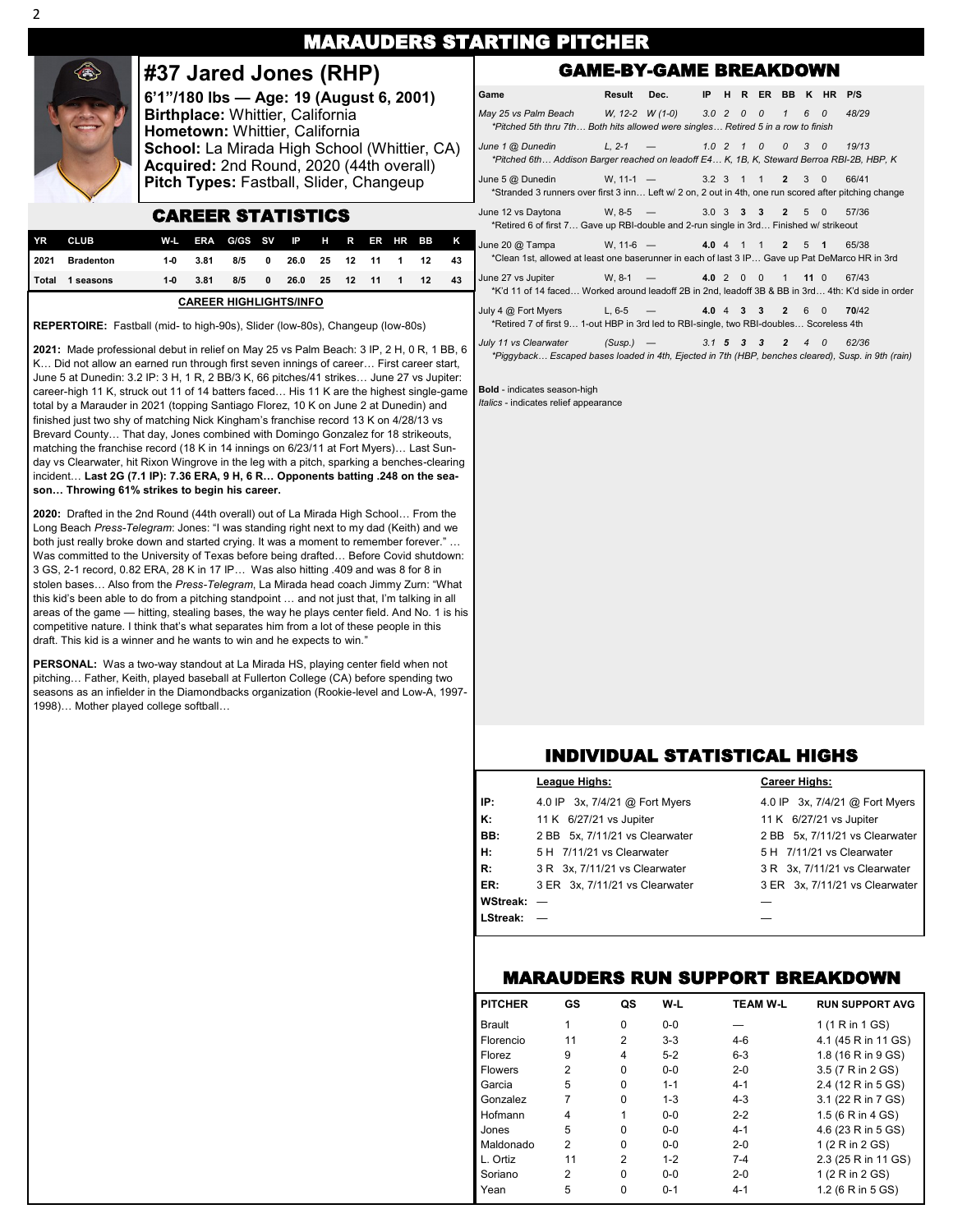|                                                                                                                                                                                                                                                                                                                                                                                                                                     | <b>MARAUDERS STARTING PITCHER</b>                                                                             |                       |                          |                                                                                                               |                                                                                                                             |                                                                                                                   |          |                           |             |                           |                           |                                               |                                                                                                                          |                  |                |       |                   |  |                  |                |     |          |       |
|-------------------------------------------------------------------------------------------------------------------------------------------------------------------------------------------------------------------------------------------------------------------------------------------------------------------------------------------------------------------------------------------------------------------------------------|---------------------------------------------------------------------------------------------------------------|-----------------------|--------------------------|---------------------------------------------------------------------------------------------------------------|-----------------------------------------------------------------------------------------------------------------------------|-------------------------------------------------------------------------------------------------------------------|----------|---------------------------|-------------|---------------------------|---------------------------|-----------------------------------------------|--------------------------------------------------------------------------------------------------------------------------|------------------|----------------|-------|-------------------|--|------------------|----------------|-----|----------|-------|
|                                                                                                                                                                                                                                                                                                                                                                                                                                     |                                                                                                               | #37 Jared Jones (RHP) |                          |                                                                                                               |                                                                                                                             |                                                                                                                   |          |                           |             |                           |                           |                                               | <b>GAME-BY-GAME BREAKDOWN</b>                                                                                            |                  |                |       |                   |  |                  |                |     |          |       |
|                                                                                                                                                                                                                                                                                                                                                                                                                                     | 6'1"/180 lbs - Age: 19 (August 6, 2001)<br>Birthplace: Whittier, California<br>Hometown: Whittier, California |                       |                          |                                                                                                               |                                                                                                                             | Game<br>May 25 vs Palm Beach<br>*Pitched 5th thru 7th Both hits allowed were singles Retired 5 in a row to finish | Result   | Dec.<br>$W, 12-2 W (1-0)$ | <b>IP</b>   | $3.0\;\;2$                | $\overline{\mathcal{O}}$  | H R ER BB K HR P/S<br>$\overline{\mathbf{0}}$ | $\overline{1}$                                                                                                           | $6 \overline{6}$ | $\overline{a}$ | 48/29 |                   |  |                  |                |     |          |       |
| School: La Mirada High School (Whittier, CA)<br>Acquired: 2nd Round, 2020 (44th overall)                                                                                                                                                                                                                                                                                                                                            |                                                                                                               |                       |                          | June 1 @ Dunedin<br>*Pitched 6th Addison Barger reached on leadoff E4 K, 1B, K, Steward Berroa RBI-2B, HBP, K | $L. 2 - 1 -$                                                                                                                |                                                                                                                   |          | 1.021                     |             | $\mathcal{O}$             |                           |                                               |                                                                                                                          | 19/13            |                |       |                   |  |                  |                |     |          |       |
|                                                                                                                                                                                                                                                                                                                                                                                                                                     | Pitch Types: Fastball, Slider, Changeup                                                                       |                       |                          |                                                                                                               | June 5 @ Dunedin<br>*Stranded 3 runners over first 3 inn Left w/ 2 on, 2 out in 4th, one run scored after pitching change   | $W. 11-1 -$                                                                                                       |          |                           |             |                           | 3.2 3 1 1 2 3             |                                               |                                                                                                                          | $\Omega$         | 66/41          |       |                   |  |                  |                |     |          |       |
|                                                                                                                                                                                                                                                                                                                                                                                                                                     |                                                                                                               |                       | <b>CAREER STATISTICS</b> |                                                                                                               |                                                                                                                             |                                                                                                                   |          |                           |             |                           |                           |                                               | June 12 vs Daytona<br>*Retired 6 of first 7 Gave up RBI-double and 2-run single in 3rd Finished w/ strikeout             | $W. 8-5 =$       |                |       | $3.0 \t3 \t3 \t3$ |  |                  | $2 \quad 5$    |     | $\Omega$ | 57/36 |
| YR<br>2021                                                                                                                                                                                                                                                                                                                                                                                                                          | <b>CLUB</b><br><b>Bradenton</b>                                                                               | $W-L$<br>$1-0$        | <b>ERA</b><br>3.81       | G/GS<br>8/5                                                                                                   | <b>SV</b>                                                                                                                   | 26.0                                                                                                              | н.<br>25 |                           | ER          | <b>HR</b>                 | вв                        | K<br>43                                       | June 20 @ Tampa<br>*Clean 1st, allowed at least one baserunner in each of last 3 IP Gave up Pat DeMarco HR in 3rd        | $W. 11-6 -$      |                |       |                   |  | 4.0 4 1 1        | 2 5 1          |     |          | 65/38 |
|                                                                                                                                                                                                                                                                                                                                                                                                                                     |                                                                                                               | $1-0$                 | 3.81                     | 8/5                                                                                                           | $\Omega$                                                                                                                    |                                                                                                                   | 25       | 12                        | 11          |                           | 12                        | 43                                            | June 27 vs Jupiter<br>*K'd 11 of 14 faced Worked around leadoff 2B in 2nd, leadoff 3B & BB in 3rd 4th: K'd side in order | $W. 8-1 -$       |                |       |                   |  | 4.0 2 0 0 1 11 0 |                |     |          | 67/43 |
|                                                                                                                                                                                                                                                                                                                                                                                                                                     |                                                                                                               |                       |                          |                                                                                                               |                                                                                                                             |                                                                                                                   |          |                           |             |                           |                           |                                               | July 4 @ Fort Myers<br>*Retired 7 of first 9 1-out HBP in 3rd led to RBI-single, two RBI-doubles Scoreless 4th           | $L, 6-5$ –       |                |       | $4.0 \t4 \t3 \t3$ |  |                  | $\overline{2}$ | 6 0 |          | 70/42 |
| Total 1 seasons<br>26.0<br><b>CAREER HIGHLIGHTS/INFO</b><br><b>REPERTOIRE:</b> Fastball (mid- to high-90s), Slider (low-80s), Changeup (low-80s)<br>2021: Made professional debut in relief on May 25 vs Palm Beach: 3 IP, 2 H, 0 R, 1 BB, 6<br>K Did not allow an earned run through first seven innings of career First career start,<br>June 5 at Dunedin: 3.2 IP: 3 H, 1 R, 2 BB/3 K, 66 pitches/41 strikes June 27 vs Jupiter: |                                                                                                               |                       |                          |                                                                                                               | July 11 vs Clearwater<br>*Piggyback Escaped bases loaded in 4th, Ejected in 7th (HBP, benches cleared), Susp. in 9th (rain) | $(Susp.)$ —                                                                                                       |          |                           | $3.1\quad5$ | $\boldsymbol{\mathsf{3}}$ | $\boldsymbol{\mathsf{3}}$ | $\overline{2}$                                | $\overline{4}$                                                                                                           | $\mathcal{O}$    | 62/36          |       |                   |  |                  |                |     |          |       |

total by a Marauder in 2021 (topping Santiago Florez, 10 K on June 2 at Dunedin) and finished just two shy of matching Nick Kingham's franchise record 13 K on 4/28/13 vs Brevard County… That day, Jones combined with Domingo Gonzalez for 18 strikeouts, matching the franchise record (18 K in 14 innings on 6/23/11 at Fort Myers)… Last Sunday vs Clearwater, hit Rixon Wingrove in the leg with a pitch, sparking a benches-clearing incident… **Last 2G (7.1 IP): 7.36 ERA, 9 H, 6 R… Opponents batting .248 on the sea-**

**2020:** Drafted in the 2nd Round (44th overall) out of La Mirada High School… From the Long Beach *Press-Telegram*: Jones: "I was standing right next to my dad (Keith) and we both just really broke down and started crying. It was a moment to remember forever." ... Was committed to the University of Texas before being drafted… Before Covid shutdown: 3 GS, 2-1 record, 0.82 ERA, 28 K in 17 IP… Was also hitting .409 and was 8 for 8 in stolen bases… Also from the *Press-Telegram*, La Mirada head coach Jimmy Zurn: "What this kid's been able to do from a pitching standpoint … and not just that, I'm talking in all areas of the game — hitting, stealing bases, the way he plays center field. And No. 1 is his competitive nature. I think that's what separates him from a lot of these people in this

**PERSONAL:** Was a two-way standout at La Mirada HS, playing center field when not pitching… Father, Keith, played baseball at Fullerton College (CA) before spending two seasons as an infielder in the Diamondbacks organization (Rookie-level and Low-A, 1997-

draft. This kid is a winner and he wants to win and he expects to win."

**son… Throwing 61% strikes to begin his career.**

1998)… Mother played college softball…

career-high 11 K, struck out 11 of 14 batters faced… His 11 K are the highest single-game **| Bold** - indicates season-high *Italics* - indicates relief appearance

## INDIVIDUAL STATISTICAL HIGHS

|                 | League Highs:                  | <b>Career Highs:</b>           |
|-----------------|--------------------------------|--------------------------------|
| IP:             | 4.0 IP 3x, 7/4/21 @ Fort Myers | 4.0 IP 3x, 7/4/21 @ Fort Myers |
| К:              | 11 K 6/27/21 vs Jupiter        | 11 K 6/27/21 vs Jupiter        |
| BB:             | 2 BB 5x, 7/11/21 vs Clearwater | 2 BB 5x, 7/11/21 vs Clearwater |
| H:              | 5 H 7/11/21 vs Clearwater      | 5 H 7/11/21 vs Clearwater      |
| R:              | 3 R 3x, 7/11/21 vs Clearwater  | 3 R 3x, 7/11/21 vs Clearwater  |
| ER:             | 3 ER 3x, 7/11/21 vs Clearwater | 3 ER 3x, 7/11/21 vs Clearwater |
| <b>WStreak:</b> |                                |                                |
| LStreak:        |                                |                                |
|                 |                                |                                |

#### MARAUDERS RUN SUPPORT BREAKDOWN

| <b>PITCHER</b> | GS | QS       | W-L     | <b>TEAM W-L</b> | <b>RUN SUPPORT AVG</b> |
|----------------|----|----------|---------|-----------------|------------------------|
| <b>Brault</b>  | 1  | $\Omega$ | $0 - 0$ |                 | 1 (1 R in 1 GS)        |
| Florencio      | 11 | 2        | $3-3$   | $4-6$           | 4.1 (45 R in 11 GS)    |
| <b>Florez</b>  | 9  | 4        | $5-2$   | $6 - 3$         | 1.8 (16 R in 9 GS)     |
| <b>Flowers</b> | 2  | $\Omega$ | $0 - 0$ | $2 - 0$         | 3.5 (7 R in 2 GS)      |
| Garcia         | 5  | $\Omega$ | $1 - 1$ | $4 - 1$         | 2.4 (12 R in 5 GS)     |
| Gonzalez       | 7  | 0        | $1 - 3$ | $4 - 3$         | 3.1 (22 R in 7 GS)     |
| Hofmann        | 4  | 1        | $0 - 0$ | $2 - 2$         | 1.5 (6 R in 4 GS)      |
| Jones          | 5  | $\Omega$ | $0 - 0$ | $4 - 1$         | 4.6 (23 R in 5 GS)     |
| Maldonado      | 2  | $\Omega$ | $0 - 0$ | $2 - 0$         | 1 (2 R in 2 GS)        |
| L. Ortiz       | 11 | 2        | $1 - 2$ | $7 - 4$         | 2.3 (25 R in 11 GS)    |
| Soriano        | 2  | $\Omega$ | $0 - 0$ | $2 - 0$         | 1 (2 R in 2 GS)        |
| Yean           | 5  | 0        | $0 - 1$ | $4 - 1$         | 1.2 (6 R in 5 GS)      |

## 2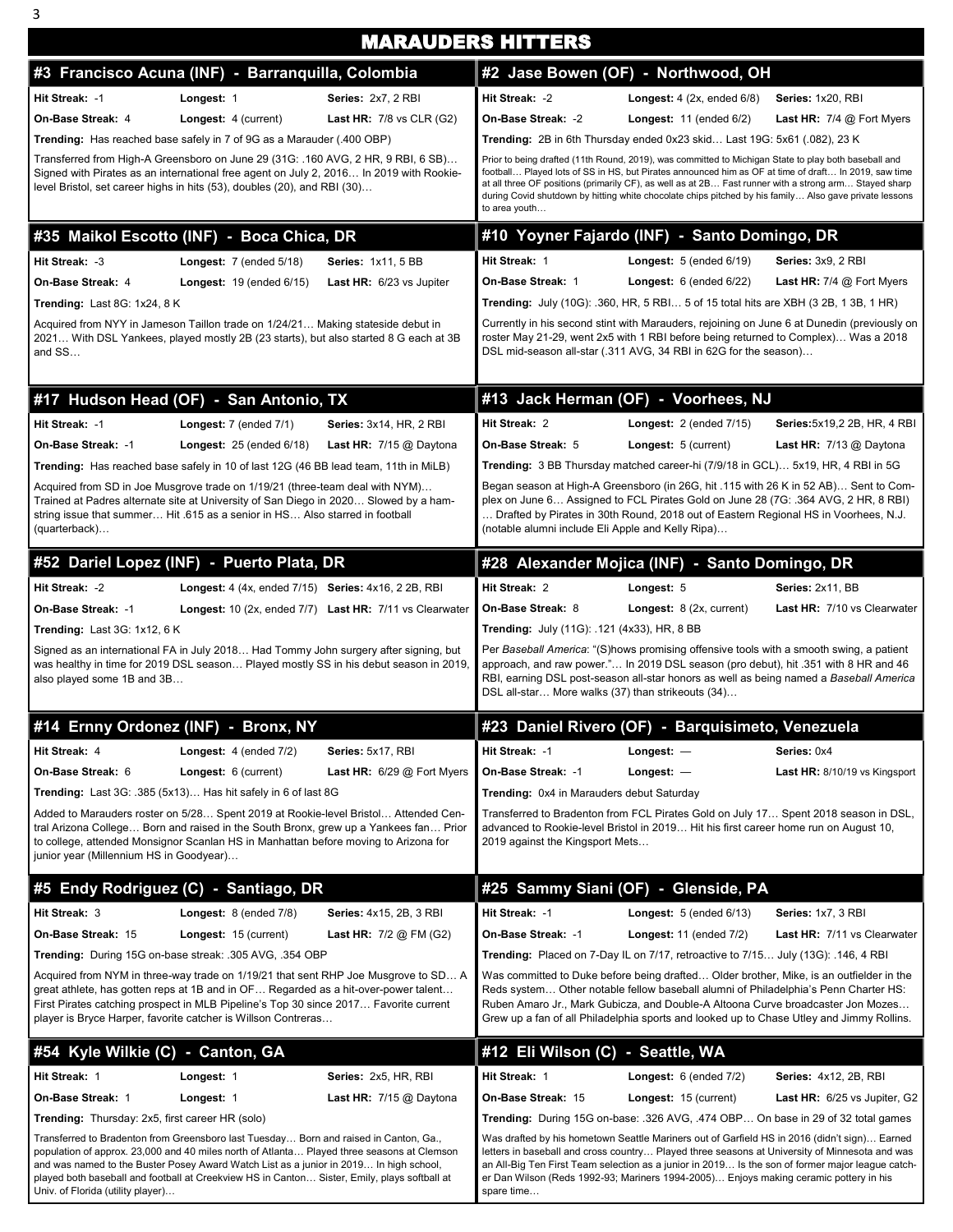|                                                 |                                                                                                                                                                                                                                                                                                                                                                               |                                                         | <b>MARAUDERS HITTERS</b>                           |                                                                                                                                                                                                                                                                                                                                                                                                                                 |                                    |
|-------------------------------------------------|-------------------------------------------------------------------------------------------------------------------------------------------------------------------------------------------------------------------------------------------------------------------------------------------------------------------------------------------------------------------------------|---------------------------------------------------------|----------------------------------------------------|---------------------------------------------------------------------------------------------------------------------------------------------------------------------------------------------------------------------------------------------------------------------------------------------------------------------------------------------------------------------------------------------------------------------------------|------------------------------------|
|                                                 | #3 Francisco Acuna (INF) - Barranquilla, Colombia                                                                                                                                                                                                                                                                                                                             |                                                         |                                                    | #2 Jase Bowen (OF) - Northwood, OH                                                                                                                                                                                                                                                                                                                                                                                              |                                    |
| Hit Streak: -1                                  | Longest: 1                                                                                                                                                                                                                                                                                                                                                                    | Series: 2x7, 2 RBI                                      | Hit Streak: -2                                     | <b>Longest:</b> $4$ (2x, ended $6/8$ )                                                                                                                                                                                                                                                                                                                                                                                          | Series: 1x20, RBI                  |
| On-Base Streak: 4                               | Longest: 4 (current)                                                                                                                                                                                                                                                                                                                                                          | Last HR: $7/8$ vs CLR (G2)                              | On-Base Streak: -2                                 | <b>Longest:</b> $11$ (ended $6/2$ )                                                                                                                                                                                                                                                                                                                                                                                             | Last HR: 7/4 @ Fort Myers          |
|                                                 | <b>Trending:</b> Has reached base safely in 7 of 9G as a Marauder (.400 OBP)                                                                                                                                                                                                                                                                                                  |                                                         |                                                    | Trending: 2B in 6th Thursday ended 0x23 skid Last 19G: 5x61 (.082), 23 K                                                                                                                                                                                                                                                                                                                                                        |                                    |
|                                                 | Transferred from High-A Greensboro on June 29 (31G: .160 AVG, 2 HR, 9 RBI, 6 SB)<br>Signed with Pirates as an international free agent on July 2, 2016 In 2019 with Rookie-<br>level Bristol, set career highs in hits (53), doubles (20), and RBI (30)                                                                                                                       |                                                         | to area youth                                      | Prior to being drafted (11th Round, 2019), was committed to Michigan State to play both baseball and<br>football Played lots of SS in HS, but Pirates announced him as OF at time of draft In 2019, saw time<br>at all three OF positions (primarily CF), as well as at 2B Fast runner with a strong arm Stayed sharp<br>during Covid shutdown by hitting white chocolate chips pitched by his family Also gave private lessons |                                    |
|                                                 | #35 Maikol Escotto (INF) - Boca Chica, DR                                                                                                                                                                                                                                                                                                                                     |                                                         |                                                    | #10 Yoyner Fajardo (INF) - Santo Domingo, DR                                                                                                                                                                                                                                                                                                                                                                                    |                                    |
| Hit Streak: -3                                  | <b>Longest:</b> $7$ (ended $5/18$ )                                                                                                                                                                                                                                                                                                                                           | <b>Series: 1x11, 5 BB</b>                               | Hit Streak: 1                                      | <b>Longest:</b> $5$ (ended $6/19$ )                                                                                                                                                                                                                                                                                                                                                                                             | Series: 3x9, 2 RBI                 |
| On-Base Streak: 4                               | <b>Longest:</b> $19$ (ended $6/15$ )                                                                                                                                                                                                                                                                                                                                          | Last HR: 6/23 vs Jupiter                                | On-Base Streak: 1                                  | <b>Longest:</b> $6$ (ended $6/22$ )                                                                                                                                                                                                                                                                                                                                                                                             | <b>Last HR:</b> $7/4$ @ Fort Myers |
| <b>Trending: Last 8G: 1x24, 8 K</b>             |                                                                                                                                                                                                                                                                                                                                                                               |                                                         |                                                    | <b>Trending:</b> July (10G): .360, HR, 5 RBI… 5 of 15 total hits are XBH (3 2B, 1 3B, 1 HR)                                                                                                                                                                                                                                                                                                                                     |                                    |
| and SS                                          | Acquired from NYY in Jameson Taillon trade on 1/24/21 Making stateside debut in<br>2021 With DSL Yankees, played mostly 2B (23 starts), but also started 8 G each at 3B                                                                                                                                                                                                       |                                                         |                                                    | Currently in his second stint with Marauders, rejoining on June 6 at Dunedin (previously on<br>roster May 21-29, went 2x5 with 1 RBI before being returned to Complex) Was a 2018<br>DSL mid-season all-star (.311 AVG, 34 RBI in 62G for the season)                                                                                                                                                                           |                                    |
|                                                 | #17 Hudson Head (OF) - San Antonio, TX                                                                                                                                                                                                                                                                                                                                        |                                                         |                                                    | #13 Jack Herman (OF) - Voorhees, NJ                                                                                                                                                                                                                                                                                                                                                                                             |                                    |
| Hit Streak: -1                                  | Longest: 7 (ended 7/1)                                                                                                                                                                                                                                                                                                                                                        | <b>Series: 3x14, HR, 2 RBI</b>                          | Hit Streak: 2                                      | <b>Longest:</b> $2$ (ended $7/15$ )                                                                                                                                                                                                                                                                                                                                                                                             | Series: 5x19, 2 2B, HR, 4 RBI      |
| On-Base Streak: -1                              | <b>Longest:</b> $25$ (ended $6/18$ )                                                                                                                                                                                                                                                                                                                                          | <b>Last HR:</b> $7/15$ @ Daytona                        | On-Base Streak: 5                                  | Longest: 5 (current)                                                                                                                                                                                                                                                                                                                                                                                                            | Last HR: $7/13$ @ Daytona          |
|                                                 | <b>Trending:</b> Has reached base safely in 10 of last 12G (46 BB lead team, 11th in MiLB)                                                                                                                                                                                                                                                                                    |                                                         |                                                    | Trending: 3 BB Thursday matched career-hi (7/9/18 in GCL) 5x19, HR, 4 RBI in 5G                                                                                                                                                                                                                                                                                                                                                 |                                    |
| (quarterback)                                   | Acquired from SD in Joe Musgrove trade on 1/19/21 (three-team deal with NYM)<br>Trained at Padres alternate site at University of San Diego in 2020 Slowed by a ham-<br>string issue that summer Hit .615 as a senior in HS Also starred in football                                                                                                                          |                                                         | (notable alumni include Eli Apple and Kelly Ripa)  | Began season at High-A Greensboro (in 26G, hit .115 with 26 K in 52 AB) Sent to Com-<br>plex on June 6 Assigned to FCL Pirates Gold on June 28 (7G: .364 AVG, 2 HR, 8 RBI)<br>Drafted by Pirates in 30th Round, 2018 out of Eastern Regional HS in Voorhees, N.J.                                                                                                                                                               |                                    |
|                                                 | #52 Dariel Lopez (INF) - Puerto Plata, DR                                                                                                                                                                                                                                                                                                                                     |                                                         |                                                    | #28 Alexander Mojica (INF) - Santo Domingo, DR                                                                                                                                                                                                                                                                                                                                                                                  |                                    |
| Hit Streak: -2                                  | <b>Longest:</b> 4 (4x, ended 7/15) <b>Series:</b> 4x16, 2 2B, RBI                                                                                                                                                                                                                                                                                                             |                                                         | Hit Streak: 2                                      | Longest: 5                                                                                                                                                                                                                                                                                                                                                                                                                      | Series: 2x11, BB                   |
| On-Base Streak: -1                              |                                                                                                                                                                                                                                                                                                                                                                               | Longest: 10 (2x, ended 7/7) Last HR: 7/11 vs Clearwater | On-Base Streak: 8                                  | Longest: 8 (2x, current)                                                                                                                                                                                                                                                                                                                                                                                                        | Last HR: 7/10 vs Clearwater        |
| Trending: Last 3G: 1x12, 6 K                    |                                                                                                                                                                                                                                                                                                                                                                               |                                                         | <b>Trending:</b> July (11G): .121 (4x33), HR, 8 BB |                                                                                                                                                                                                                                                                                                                                                                                                                                 |                                    |
| also played some 1B and 3B                      | Signed as an international FA in July 2018 Had Tommy John surgery after signing, but<br>was healthy in time for 2019 DSL season Played mostly SS in his debut season in 2019,                                                                                                                                                                                                 |                                                         | DSL all-star More walks (37) than strikeouts (34)  | Per Baseball America: "(S)hows promising offensive tools with a smooth swing, a patient<br>approach, and raw power." In 2019 DSL season (pro debut), hit .351 with 8 HR and 46<br>RBI, earning DSL post-season all-star honors as well as being named a Baseball America                                                                                                                                                        |                                    |
|                                                 | #14 Ernny Ordonez (INF) - Bronx, NY                                                                                                                                                                                                                                                                                                                                           |                                                         |                                                    | #23 Daniel Rivero (OF) - Barquisimeto, Venezuela                                                                                                                                                                                                                                                                                                                                                                                |                                    |
| Hit Streak: 4                                   | <b>Longest:</b> $4$ (ended $7/2$ )                                                                                                                                                                                                                                                                                                                                            | Series: 5x17, RBI                                       | Hit Streak: - 1                                    | Longest: $-$                                                                                                                                                                                                                                                                                                                                                                                                                    | Series: 0x4                        |
| On-Base Streak: 6                               | Longest: 6 (current)                                                                                                                                                                                                                                                                                                                                                          | Last HR: $6/29$ @ Fort Myers                            | On-Base Streak: -1                                 | Longest: -                                                                                                                                                                                                                                                                                                                                                                                                                      | Last HR: 8/10/19 vs Kingsport      |
|                                                 | Trending: Last 3G: .385 (5x13) Has hit safely in 6 of last 8G                                                                                                                                                                                                                                                                                                                 |                                                         | Trending: 0x4 in Marauders debut Saturday          |                                                                                                                                                                                                                                                                                                                                                                                                                                 |                                    |
| junior year (Millennium HS in Goodyear)         | Added to Marauders roster on 5/28 Spent 2019 at Rookie-level Bristol Attended Cen-<br>tral Arizona College Born and raised in the South Bronx, grew up a Yankees fan Prior<br>to college, attended Monsignor Scanlan HS in Manhattan before moving to Arizona for                                                                                                             |                                                         | 2019 against the Kingsport Mets                    | Transferred to Bradenton from FCL Pirates Gold on July 17 Spent 2018 season in DSL,<br>advanced to Rookie-level Bristol in 2019 Hit his first career home run on August 10,                                                                                                                                                                                                                                                     |                                    |
|                                                 | #5 Endy Rodriguez (C) - Santiago, DR                                                                                                                                                                                                                                                                                                                                          |                                                         |                                                    | #25 Sammy Siani (OF) - Glenside, PA                                                                                                                                                                                                                                                                                                                                                                                             |                                    |
| Hit Streak: 3                                   | Longest: 8 (ended 7/8)                                                                                                                                                                                                                                                                                                                                                        | <b>Series: 4x15, 2B, 3 RBI</b>                          | Hit Streak: -1                                     | Longest: $5$ (ended $6/13$ )                                                                                                                                                                                                                                                                                                                                                                                                    | Series: 1x7, 3 RBI                 |
| On-Base Streak: 15                              | Longest: 15 (current)                                                                                                                                                                                                                                                                                                                                                         | <b>Last HR:</b> $7/2$ @ FM (G2)                         | On-Base Streak: -1                                 | Longest: $11$ (ended $7/2$ )                                                                                                                                                                                                                                                                                                                                                                                                    | Last HR: 7/11 vs Clearwater        |
|                                                 | Trending: During 15G on-base streak: .305 AVG, .354 OBP                                                                                                                                                                                                                                                                                                                       |                                                         |                                                    | Trending: Placed on 7-Day IL on 7/17, retroactive to 7/15 July (13G): .146, 4 RBI                                                                                                                                                                                                                                                                                                                                               |                                    |
|                                                 | Acquired from NYM in three-way trade on 1/19/21 that sent RHP Joe Musgrove to SD A<br>great athlete, has gotten reps at 1B and in OF Regarded as a hit-over-power talent<br>First Pirates catching prospect in MLB Pipeline's Top 30 since 2017 Favorite current<br>player is Bryce Harper, favorite catcher is Willson Contreras                                             |                                                         |                                                    | Was committed to Duke before being drafted… Older brother, Mike, is an outfielder in the<br>Reds system Other notable fellow baseball alumni of Philadelphia's Penn Charter HS:<br>Ruben Amaro Jr., Mark Gubicza, and Double-A Altoona Curve broadcaster Jon Mozes<br>Grew up a fan of all Philadelphia sports and looked up to Chase Utley and Jimmy Rollins.                                                                  |                                    |
| #54 Kyle Wilkie (C) - Canton, GA                |                                                                                                                                                                                                                                                                                                                                                                               |                                                         | #12 Eli Wilson (C) - Seattle, WA                   |                                                                                                                                                                                                                                                                                                                                                                                                                                 |                                    |
| Hit Streak: 1                                   | Longest: 1                                                                                                                                                                                                                                                                                                                                                                    | Series: 2x5, HR, RBI                                    | Hit Streak: 1                                      | <b>Longest:</b> $6$ (ended $7/2$ )                                                                                                                                                                                                                                                                                                                                                                                              | <b>Series: 4x12, 2B, RBI</b>       |
| On-Base Streak: 1                               | Longest: 1                                                                                                                                                                                                                                                                                                                                                                    | Last HR: $7/15$ @ Daytona                               | On-Base Streak: 15                                 | Longest: 15 (current)                                                                                                                                                                                                                                                                                                                                                                                                           | Last HR: 6/25 vs Jupiter, G2       |
| Trending: Thursday: 2x5, first career HR (solo) |                                                                                                                                                                                                                                                                                                                                                                               |                                                         |                                                    | Trending: During 15G on-base: .326 AVG, .474 OBP On base in 29 of 32 total games                                                                                                                                                                                                                                                                                                                                                |                                    |
| Univ. of Florida (utility player)               | Transferred to Bradenton from Greensboro last Tuesday Born and raised in Canton, Ga.,<br>population of approx. 23,000 and 40 miles north of Atlanta Played three seasons at Clemson<br>and was named to the Buster Posey Award Watch List as a junior in 2019 In high school,<br>played both baseball and football at Creekview HS in Canton Sister, Emily, plays softball at |                                                         | spare time                                         | Was drafted by his hometown Seattle Mariners out of Garfield HS in 2016 (didn't sign) Earned<br>letters in baseball and cross country Played three seasons at University of Minnesota and was<br>an All-Big Ten First Team selection as a junior in 2019… Is the son of former major league catch-<br>er Dan Wilson (Reds 1992-93; Mariners 1994-2005)… Enjoys making ceramic pottery in his                                    |                                    |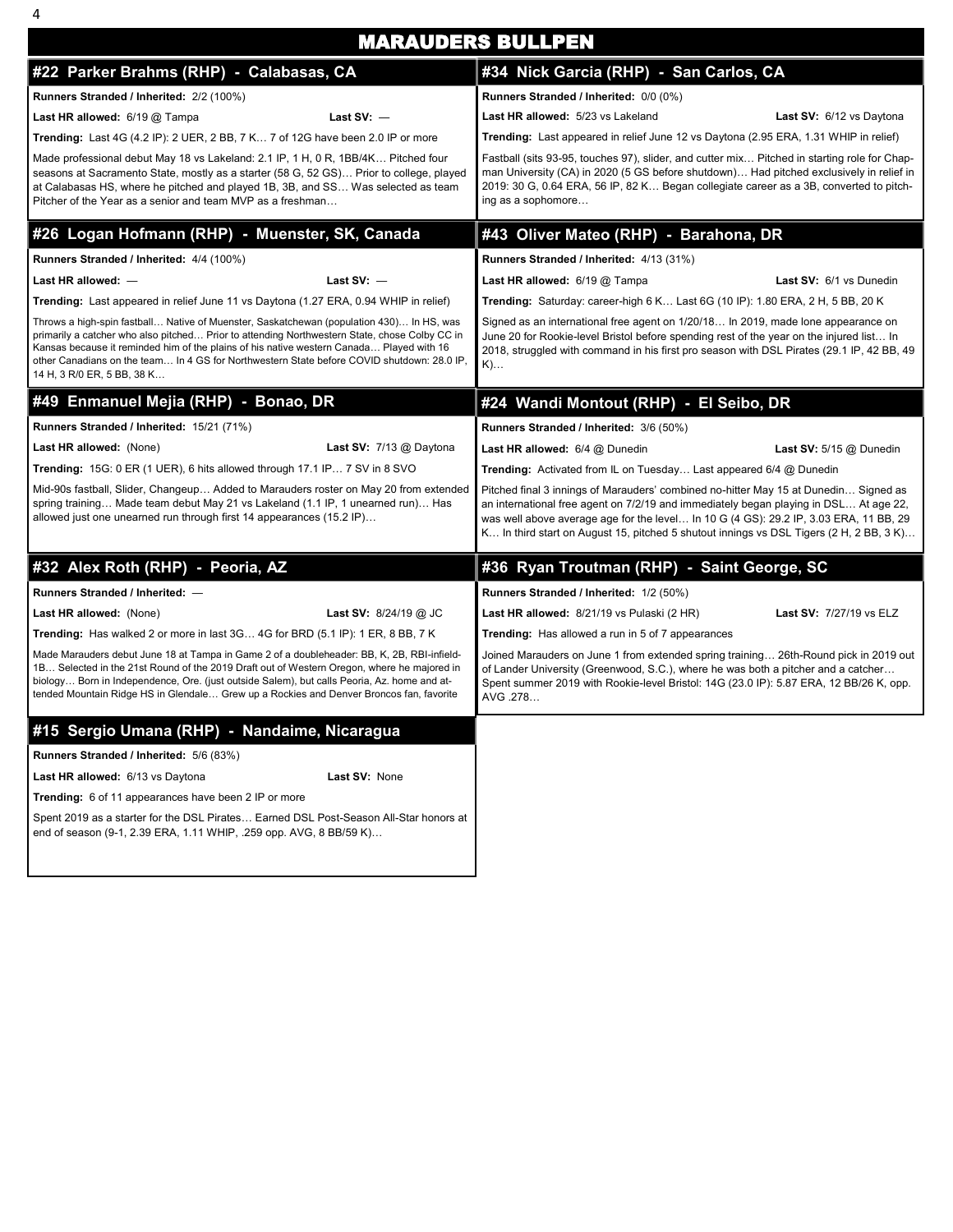|                                                                                                                                                                                                                                                                                                                                                                                                                   | <b>MARAUDERS BULLPEN</b>                                                                                                                                                                                                                                                                                                                                          |  |  |  |  |  |
|-------------------------------------------------------------------------------------------------------------------------------------------------------------------------------------------------------------------------------------------------------------------------------------------------------------------------------------------------------------------------------------------------------------------|-------------------------------------------------------------------------------------------------------------------------------------------------------------------------------------------------------------------------------------------------------------------------------------------------------------------------------------------------------------------|--|--|--|--|--|
| #22 Parker Brahms (RHP) - Calabasas, CA                                                                                                                                                                                                                                                                                                                                                                           | #34 Nick Garcia (RHP) - San Carlos, CA                                                                                                                                                                                                                                                                                                                            |  |  |  |  |  |
| Runners Stranded / Inherited: 2/2 (100%)                                                                                                                                                                                                                                                                                                                                                                          | Runners Stranded / Inherited: 0/0 (0%)                                                                                                                                                                                                                                                                                                                            |  |  |  |  |  |
| Last $SV:$ -<br>Last HR allowed: 6/19 @ Tampa                                                                                                                                                                                                                                                                                                                                                                     | Last HR allowed: 5/23 vs Lakeland<br>Last SV: 6/12 vs Daytona                                                                                                                                                                                                                                                                                                     |  |  |  |  |  |
| Trending: Last 4G (4.2 IP): 2 UER, 2 BB, 7 K 7 of 12G have been 2.0 IP or more                                                                                                                                                                                                                                                                                                                                    | Trending: Last appeared in relief June 12 vs Daytona (2.95 ERA, 1.31 WHIP in relief)                                                                                                                                                                                                                                                                              |  |  |  |  |  |
| Made professional debut May 18 vs Lakeland: 2.1 IP, 1 H, 0 R, 1BB/4K Pitched four<br>seasons at Sacramento State, mostly as a starter (58 G, 52 GS) Prior to college, played<br>at Calabasas HS, where he pitched and played 1B, 3B, and SS Was selected as team<br>Pitcher of the Year as a senior and team MVP as a freshman                                                                                    | Fastball (sits 93-95, touches 97), slider, and cutter mix Pitched in starting role for Chap-<br>man University (CA) in 2020 (5 GS before shutdown) Had pitched exclusively in relief in<br>2019: 30 G, 0.64 ERA, 56 IP, 82 K Began collegiate career as a 3B, converted to pitch-<br>ing as a sophomore                                                           |  |  |  |  |  |
| #26 Logan Hofmann (RHP) - Muenster, SK, Canada                                                                                                                                                                                                                                                                                                                                                                    | #43 Oliver Mateo (RHP) - Barahona, DR                                                                                                                                                                                                                                                                                                                             |  |  |  |  |  |
| Runners Stranded / Inherited: 4/4 (100%)                                                                                                                                                                                                                                                                                                                                                                          | Runners Stranded / Inherited: 4/13 (31%)                                                                                                                                                                                                                                                                                                                          |  |  |  |  |  |
| Last $SV:$ -<br>Last HR allowed: $-$                                                                                                                                                                                                                                                                                                                                                                              | Last HR allowed: 6/19 @ Tampa<br>Last SV: 6/1 vs Dunedin                                                                                                                                                                                                                                                                                                          |  |  |  |  |  |
| Trending: Last appeared in relief June 11 vs Daytona (1.27 ERA, 0.94 WHIP in relief)                                                                                                                                                                                                                                                                                                                              | Trending: Saturday: career-high 6 K Last 6G (10 IP): 1.80 ERA, 2 H, 5 BB, 20 K                                                                                                                                                                                                                                                                                    |  |  |  |  |  |
| Throws a high-spin fastball Native of Muenster, Saskatchewan (population 430) In HS, was<br>primarily a catcher who also pitched Prior to attending Northwestern State, chose Colby CC in<br>Kansas because it reminded him of the plains of his native western Canada Played with 16<br>other Canadians on the team In 4 GS for Northwestern State before COVID shutdown: 28.0 IP,<br>14 H, 3 R/0 ER, 5 BB, 38 K | Signed as an international free agent on 1/20/18 In 2019, made lone appearance on<br>June 20 for Rookie-level Bristol before spending rest of the year on the injured list In<br>2018, struggled with command in his first pro season with DSL Pirates (29.1 IP, 42 BB, 49<br>$K)$                                                                                |  |  |  |  |  |
| #49 Enmanuel Mejia (RHP) - Bonao, DR                                                                                                                                                                                                                                                                                                                                                                              | #24 Wandi Montout (RHP) - El Seibo, DR                                                                                                                                                                                                                                                                                                                            |  |  |  |  |  |
| Runners Stranded / Inherited: 15/21 (71%)                                                                                                                                                                                                                                                                                                                                                                         |                                                                                                                                                                                                                                                                                                                                                                   |  |  |  |  |  |
| Last HR allowed: (None)<br>Last SV: $7/13$ @ Daytona                                                                                                                                                                                                                                                                                                                                                              | Last HR allowed: 6/4 @ Dunedin<br><b>Last SV:</b> $5/15$ @ Dunedin                                                                                                                                                                                                                                                                                                |  |  |  |  |  |
| Trending: 15G: 0 ER (1 UER), 6 hits allowed through 17.1 IP 7 SV in 8 SVO                                                                                                                                                                                                                                                                                                                                         | Trending: Activated from IL on Tuesday Last appeared 6/4 @ Dunedin                                                                                                                                                                                                                                                                                                |  |  |  |  |  |
| Mid-90s fastball, Slider, Changeup Added to Marauders roster on May 20 from extended<br>spring training Made team debut May 21 vs Lakeland (1.1 IP, 1 unearned run) Has<br>allowed just one unearned run through first 14 appearances (15.2 IP)                                                                                                                                                                   | Pitched final 3 innings of Marauders' combined no-hitter May 15 at Dunedin Signed as<br>an international free agent on 7/2/19 and immediately began playing in DSL At age 22,<br>was well above average age for the level In 10 G (4 GS): 29.2 IP, 3.03 ERA, 11 BB, 29<br>K In third start on August 15, pitched 5 shutout innings vs DSL Tigers (2 H, 2 BB, 3 K) |  |  |  |  |  |
| #32 Alex Roth (RHP) - Peoria, AZ                                                                                                                                                                                                                                                                                                                                                                                  | #36 Ryan Troutman (RHP) - Saint George, SC                                                                                                                                                                                                                                                                                                                        |  |  |  |  |  |
| Runners Stranded / Inherited: -                                                                                                                                                                                                                                                                                                                                                                                   | Runners Stranded / Inherited: 1/2 (50%)                                                                                                                                                                                                                                                                                                                           |  |  |  |  |  |
| Last HR allowed: (None)<br><b>Last SV: 8/24/19 @ JC</b>                                                                                                                                                                                                                                                                                                                                                           | Last HR allowed: 8/21/19 vs Pulaski (2 HR)<br><b>Last SV: 7/27/19 vs ELZ</b>                                                                                                                                                                                                                                                                                      |  |  |  |  |  |
| Trending: Has walked 2 or more in last 3G 4G for BRD (5.1 IP): 1 ER, 8 BB, 7 K                                                                                                                                                                                                                                                                                                                                    | <b>Trending:</b> Has allowed a run in 5 of 7 appearances                                                                                                                                                                                                                                                                                                          |  |  |  |  |  |
| Made Marauders debut June 18 at Tampa in Game 2 of a doubleheader: BB, K, 2B, RBI-infield-<br>1B Selected in the 21st Round of the 2019 Draft out of Western Oregon, where he majored in<br>biology Born in Independence, Ore. (just outside Salem), but calls Peoria, Az. home and at-<br>tended Mountain Ridge HS in Glendale Grew up a Rockies and Denver Broncos fan, favorite                                | Joined Marauders on June 1 from extended spring training 26th-Round pick in 2019 out<br>of Lander University (Greenwood, S.C.), where he was both a pitcher and a catcher<br>Spent summer 2019 with Rookie-level Bristol: 14G (23.0 IP): 5.87 ERA, 12 BB/26 K, opp.<br>AVG .278                                                                                   |  |  |  |  |  |
| #15 Sergio Umana (RHP) - Nandaime, Nicaragua                                                                                                                                                                                                                                                                                                                                                                      |                                                                                                                                                                                                                                                                                                                                                                   |  |  |  |  |  |
| Runners Stranded / Inherited: 5/6 (83%)                                                                                                                                                                                                                                                                                                                                                                           |                                                                                                                                                                                                                                                                                                                                                                   |  |  |  |  |  |
| Last HR allowed: 6/13 vs Daytona<br>Last SV: None                                                                                                                                                                                                                                                                                                                                                                 |                                                                                                                                                                                                                                                                                                                                                                   |  |  |  |  |  |
| Trending: 6 of 11 appearances have been 2 IP or more                                                                                                                                                                                                                                                                                                                                                              |                                                                                                                                                                                                                                                                                                                                                                   |  |  |  |  |  |
| Spent 2019 as a starter for the DSL Pirates Earned DSL Post-Season All-Star honors at<br>end of season (9-1, 2.39 ERA, 1.11 WHIP, .259 opp. AVG, 8 BB/59 K)                                                                                                                                                                                                                                                       |                                                                                                                                                                                                                                                                                                                                                                   |  |  |  |  |  |
|                                                                                                                                                                                                                                                                                                                                                                                                                   | Runners Stranded / Inherited: 3/6 (50%)                                                                                                                                                                                                                                                                                                                           |  |  |  |  |  |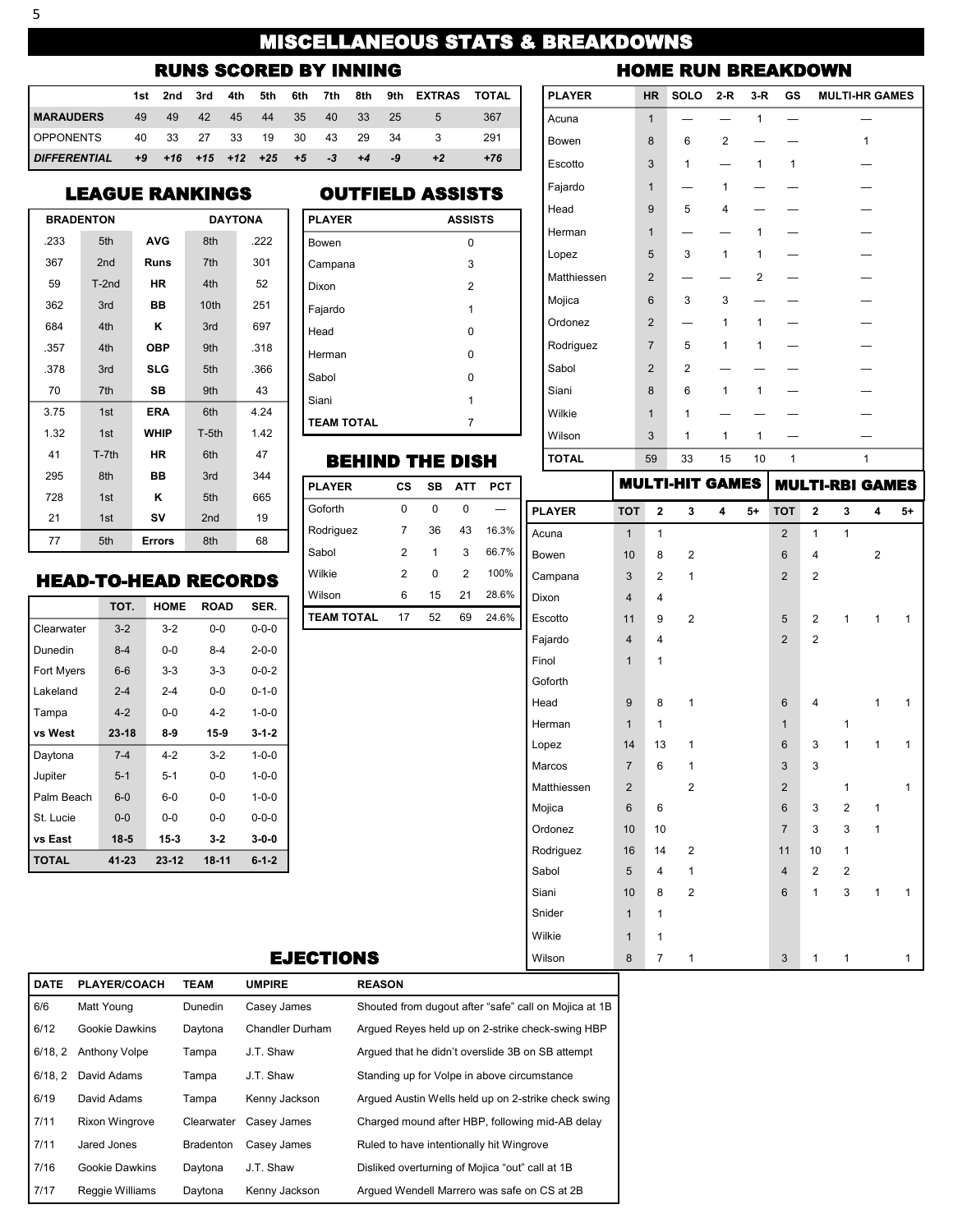# MISCELLANEOUS STATS & BREAKDOWNS

## RUNS SCORED BY INNING

|                                      |                          |  |             |  |           | 1st 2nd 3rd 4th 5th 6th 7th 8th 9th EXTRAS TOTAL |       |
|--------------------------------------|--------------------------|--|-------------|--|-----------|--------------------------------------------------|-------|
| <b>IMARAUDERS</b>                    | 49 49                    |  | 42 45 44 35 |  | 40 33 25  | - 5                                              | 367   |
| OPPONENTS 40 33 27 33 19 30 43 29 34 |                          |  |             |  |           |                                                  | 291   |
| <b>DIFFERENTIAL</b>                  | +9 +16 +15 +12 +25 +5 -3 |  |             |  | $+4$ $-9$ |                                                  | $+76$ |

### LEAGUE RANKINGS

|      | <b>BRADENTON</b> |               | <b>DAYTONA</b>  |      |  |  |  |
|------|------------------|---------------|-----------------|------|--|--|--|
| .233 | 5th              | <b>AVG</b>    | 8th             | .222 |  |  |  |
| 367  | 2 <sub>nd</sub>  | Runs          | 7th             | 301  |  |  |  |
| 59   | $T-2nd$          | НR            | 4th             | 52   |  |  |  |
| 362  | 3rd              | BВ            | 10th            | 251  |  |  |  |
| 684  | 4th              | κ             | 3rd             | 697  |  |  |  |
| .357 | 4th              | <b>OBP</b>    | 9 <sub>th</sub> | .318 |  |  |  |
| .378 | 3rd              | <b>SLG</b>    | 5th             | .366 |  |  |  |
| 70   | 7th              | SB            | 9th             | 43   |  |  |  |
| 3.75 | 1st              | <b>ERA</b>    | 6th             | 4.24 |  |  |  |
| 1.32 | 1st              | <b>WHIP</b>   | $T-5th$         | 142  |  |  |  |
| 41   | $T-7th$          | НR            | 6th             | 47   |  |  |  |
| 295  | 8th              | BB            | 3rd             | 344  |  |  |  |
| 728  | 1st              | κ             | 5th             | 665  |  |  |  |
| 21   | 1st              | SV            | 2 <sub>nd</sub> | 19   |  |  |  |
| 77   | 5th              | <b>Errors</b> | 8th             | 68   |  |  |  |

## OUTFIELD ASSISTS

| <b>PLAYER</b>     | <b>ASSISTS</b> |
|-------------------|----------------|
| Bowen             | 0              |
| Campana           | 3              |
| Dixon             | $\overline{2}$ |
| Fajardo           | 1              |
| Head              | 0              |
| Herman            | 0              |
| Sabol             | 0              |
| Siani             | 1              |
| <b>TEAM TOTAL</b> |                |

### BEHIND THE DISH

| <b>PLAYER</b>     | CS | SB | <b>ATT</b> | <b>PCT</b> |  |
|-------------------|----|----|------------|------------|--|
| Goforth           | 0  | 0  | 0          |            |  |
| Rodriguez         | 7  | 36 | 43         | 16.3%      |  |
| Sabol             | 2  | 1  | 3          | 66.7%      |  |
| Wilkie            | 2  | 0  | 2          | 100%       |  |
| Wilson            | 6  | 15 | 21         | 28.6%      |  |
| <b>TEAM TOTAL</b> | 17 | 52 | 69         | 24.6%      |  |
|                   |    |    |            |            |  |
|                   |    |    |            |            |  |
|                   |    |    |            |            |  |

| <b>PLAYER</b> | <b>HR</b>       | <b>SOLO</b>    | $2-R$          | $3-R$          | GS           | <b>MULTI-HR GAMES</b> |
|---------------|-----------------|----------------|----------------|----------------|--------------|-----------------------|
| Acuna         | $\overline{1}$  |                |                | $\mathbf{1}$   |              |                       |
| Bowen         | 8               | 6              | $\overline{2}$ |                |              | 1                     |
| Escotto       | 3               | $\mathbf{1}$   |                | $\mathbf{1}$   | $\mathbf{1}$ |                       |
| Fajardo       | $\overline{1}$  |                | 1              |                |              |                       |
| Head          | 9               | 5              | $\overline{4}$ |                |              |                       |
| Herman        | $\overline{1}$  |                |                | $\mathbf{1}$   |              |                       |
| Lopez         | 5               | 3              | $\mathbf{1}$   | 1              |              |                       |
| Matthiessen   | $\overline{2}$  |                |                | $\overline{2}$ |              |                       |
| Mojica        | $6\phantom{1}6$ | 3              | 3              |                |              |                       |
| Ordonez       | $\overline{2}$  |                | 1              | $\mathbf{1}$   |              |                       |
| Rodriguez     | $\overline{7}$  | 5              | 1              | $\mathbf{1}$   |              |                       |
| Sabol         | $\overline{2}$  | $\overline{2}$ |                |                |              |                       |
| Siani         | 8               | 6              | $\mathbf{1}$   | 1              |              |                       |
| Wilkie        | $\overline{1}$  | $\mathbf{1}$   |                |                |              |                       |
| Wilson        | 3               | $\mathbf{1}$   | 1              | 1              |              |                       |
| <b>TOTAL</b>  | 59              | 33             | 15             | 10             | 1            | 1                     |

HOME RUN BREAKDOWN

## **PLAYER TOT 2 3 4 5+ TOT 2 3 4 5+** Acuna 1 1 1 2 1 1 Bowen 10 8 2 6 4 2 Campana 3 2 1 2 2 Dixon 4 4 Escotto 11 9 2 5 2 1 1 1 Fajardo 4 4 4 2 2 Finol 1 1 1 Goforth Head 9 8 1 6 4 1 1 Herman 1 1 1 1 1 1 1 1 Lopez 14 13 1 6 3 1 1 1 Marcos 7 6 1 3 3 Matthiessen 2 2 2 1 1 Mojica 6 6 6 3 2 1 Ordonez 10 10 7 3 3 1 Rodriguez 16 14 2 11 10 1 Sabol 5 4 1 4 2 2 Siani 10 8 2 6 1 3 1 1 Snider 1 1 Wilkie 1 1 1 Wilson 8 7 1 3 1 1 1 MULTI-HIT GAMES MULTI-RBI GAMES

#### EJECTIONS

| <b>DATE</b> | <b>PLAYER/COACH</b>   | <b>TEAM</b>      | <b>UMPIRE</b>          | <b>REASON</b>                                         |
|-------------|-----------------------|------------------|------------------------|-------------------------------------------------------|
| 6/6         | Matt Young            | <b>Dunedin</b>   | Casey James            | Shouted from dugout after "safe" call on Mojica at 1B |
| 6/12        | Gookie Dawkins        | Daytona          | <b>Chandler Durham</b> | Arqued Reyes held up on 2-strike check-swing HBP      |
| 6/18.2      | <b>Anthony Volpe</b>  | Tampa            | J.T. Shaw              | Arqued that he didn't overslide 3B on SB attempt      |
| 6/18.2      | David Adams           | Tampa            | J.T. Shaw              | Standing up for Volpe in above circumstance           |
| 6/19        | David Adams           | Tampa            | Kenny Jackson          | Arqued Austin Wells held up on 2-strike check swing   |
| 7/11        | <b>Rixon Wingrove</b> | Clearwater       | Casey James            | Charged mound after HBP, following mid-AB delay       |
| 7/11        | Jared Jones           | <b>Bradenton</b> | Casey James            | Ruled to have intentionally hit Wingrove              |
| 7/16        | Gookie Dawkins        | Daytona          | J.T. Shaw              | Disliked overturning of Mojica "out" call at 1B       |
| 7/17        | Reggie Williams       | Davtona          | Kenny Jackson          | Arqued Wendell Marrero was safe on CS at 2B           |

## HEAD-TO-HEAD RECORDS

|                   | TOT.     | <b>HOME</b> | <b>ROAD</b> | SER.        |  |
|-------------------|----------|-------------|-------------|-------------|--|
| Clearwater        | $3 - 2$  | $3-2$       | $0 - 0$     | $0 - 0 - 0$ |  |
| Dunedin           | $8 - 4$  | $0 - 0$     | 8-4         | $2 - 0 - 0$ |  |
| <b>Fort Myers</b> | $6-6$    | $3-3$       | $3-3$       | $0 - 0 - 2$ |  |
| I akeland         | $2 - 4$  | $2 - 4$     | 0-0         | $0 - 1 - 0$ |  |
| Tampa             | $4 - 2$  | $0 - 0$     | $4 - 2$     | $1 - 0 - 0$ |  |
| vs West           | $23-18$  | 8-9         | $15-9$      | $3 - 1 - 2$ |  |
| Daytona           | $7 - 4$  | $4 - 2$     | $3-2$       | $1 - 0 - 0$ |  |
| Jupiter           | $5 - 1$  | $5 - 1$     | 0-0         | $1 - 0 - 0$ |  |
| Palm Beach        | $6 - 0$  | 6-0         | $0 - 0$     | $1 - 0 - 0$ |  |
| St. Lucie         | $0 - 0$  | $0 - 0$     | $0 - 0$     | $0 - 0 - 0$ |  |
| vs East           | $18 - 5$ | $15-3$      | $3-2$       | $3 - 0 - 0$ |  |
| <b>TOTAL</b>      | 41-23    | $23-12$     | 18-11       | $6 - 1 - 2$ |  |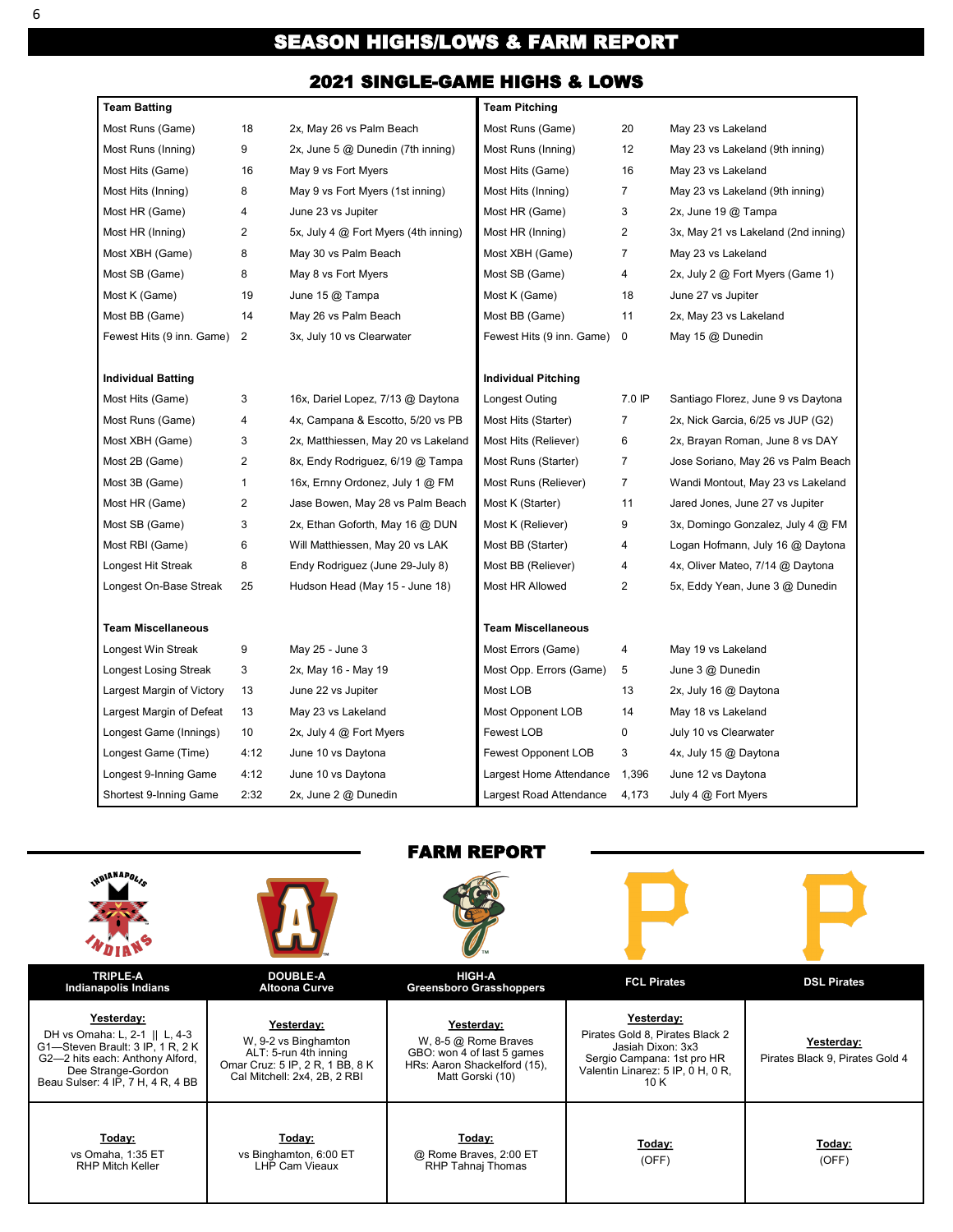# SEASON HIGHS/LOWS & FARM REPORT

## 2021 SINGLE-GAME HIGHS & LOWS

| Team Batting              |                |                                      | <b>Team Pitching</b>       |                |                                     |
|---------------------------|----------------|--------------------------------------|----------------------------|----------------|-------------------------------------|
| Most Runs (Game)          | 18             | 2x, May 26 vs Palm Beach             | Most Runs (Game)           | 20             | May 23 vs Lakeland                  |
| Most Runs (Inning)        | 9              | 2x, June 5 @ Dunedin (7th inning)    | Most Runs (Inning)         | 12             | May 23 vs Lakeland (9th inning)     |
| Most Hits (Game)          | 16             | May 9 vs Fort Myers                  | Most Hits (Game)           | 16             | May 23 vs Lakeland                  |
| Most Hits (Inning)        | 8              | May 9 vs Fort Myers (1st inning)     | Most Hits (Inning)         | $\overline{7}$ | May 23 vs Lakeland (9th inning)     |
| Most HR (Game)            | 4              | June 23 vs Jupiter                   | Most HR (Game)             | 3              | 2x, June 19 @ Tampa                 |
| Most HR (Inning)          | $\overline{2}$ | 5x, July 4 @ Fort Myers (4th inning) | Most HR (Inning)           | $\overline{2}$ | 3x, May 21 vs Lakeland (2nd inning) |
| Most XBH (Game)           | 8              | May 30 vs Palm Beach                 | Most XBH (Game)            | $\overline{7}$ | May 23 vs Lakeland                  |
| Most SB (Game)            | 8              | May 8 vs Fort Myers                  | Most SB (Game)             | 4              | 2x, July 2 @ Fort Myers (Game 1)    |
| Most K (Game)             | 19             | June 15 @ Tampa                      | Most K (Game)              | 18             | June 27 vs Jupiter                  |
| Most BB (Game)            | 14             | May 26 vs Palm Beach                 | Most BB (Game)             | 11             | 2x, May 23 vs Lakeland              |
| Fewest Hits (9 inn. Game) | 2              | 3x, July 10 vs Clearwater            | Fewest Hits (9 inn. Game)  | $\mathbf 0$    | May 15 @ Dunedin                    |
| <b>Individual Batting</b> |                |                                      | <b>Individual Pitching</b> |                |                                     |
| Most Hits (Game)          | 3              | 16x, Dariel Lopez, 7/13 @ Daytona    | Longest Outing             | 7.0 IP         | Santiago Florez, June 9 vs Daytona  |
| Most Runs (Game)          | 4              | 4x, Campana & Escotto, 5/20 vs PB    | Most Hits (Starter)        | $\overline{7}$ | 2x, Nick Garcia, 6/25 vs JUP (G2)   |
| Most XBH (Game)           | 3              | 2x, Matthiessen, May 20 vs Lakeland  | Most Hits (Reliever)       | 6              | 2x, Brayan Roman, June 8 vs DAY     |
| Most 2B (Game)            | 2              | 8x, Endy Rodriguez, 6/19 @ Tampa     | Most Runs (Starter)        | $\overline{7}$ | Jose Soriano, May 26 vs Palm Beach  |
| Most 3B (Game)            | $\mathbf{1}$   | 16x, Ernny Ordonez, July 1 @ FM      | Most Runs (Reliever)       | $\overline{7}$ | Wandi Montout, May 23 vs Lakeland   |
| Most HR (Game)            | 2              | Jase Bowen, May 28 vs Palm Beach     | Most K (Starter)           | 11             | Jared Jones, June 27 vs Jupiter     |
| Most SB (Game)            | 3              | 2x, Ethan Goforth, May 16 @ DUN      | Most K (Reliever)          | 9              | 3x, Domingo Gonzalez, July 4 @ FM   |
| Most RBI (Game)           | 6              | Will Matthiessen, May 20 vs LAK      | Most BB (Starter)          | 4              | Logan Hofmann, July 16 @ Daytona    |
| Longest Hit Streak        | 8              | Endy Rodriguez (June 29-July 8)      | Most BB (Reliever)         | $\overline{4}$ | 4x, Oliver Mateo, 7/14 @ Daytona    |
| Longest On-Base Streak    | 25             | Hudson Head (May 15 - June 18)       | Most HR Allowed            | $\overline{2}$ | 5x, Eddy Yean, June 3 @ Dunedin     |
| <b>Team Miscellaneous</b> |                |                                      | <b>Team Miscellaneous</b>  |                |                                     |
| Longest Win Streak        | 9              | May 25 - June 3                      | Most Errors (Game)         | 4              | May 19 vs Lakeland                  |
| Longest Losing Streak     | 3              | 2x, May 16 - May 19                  | Most Opp. Errors (Game)    | 5              | June 3 @ Dunedin                    |
| Largest Margin of Victory | 13             | June 22 vs Jupiter                   | Most LOB                   | 13             | 2x, July 16 @ Daytona               |
| Largest Margin of Defeat  | 13             | May 23 vs Lakeland                   | Most Opponent LOB          | 14             | May 18 vs Lakeland                  |
| Longest Game (Innings)    | 10             | 2x, July 4 @ Fort Myers              | Fewest LOB                 | 0              | July 10 vs Clearwater               |
| Longest Game (Time)       | 4:12           | June 10 vs Daytona                   | <b>Fewest Opponent LOB</b> | 3              | 4x, July 15 @ Daytona               |
| Longest 9-Inning Game     | 4:12           | June 10 vs Daytona                   | Largest Home Attendance    | 1,396          | June 12 vs Daytona                  |
| Shortest 9-Inning Game    | 2:32           | 2x, June 2 @ Dunedin                 | Largest Road Attendance    | 4,173          | July 4 @ Fort Myers                 |

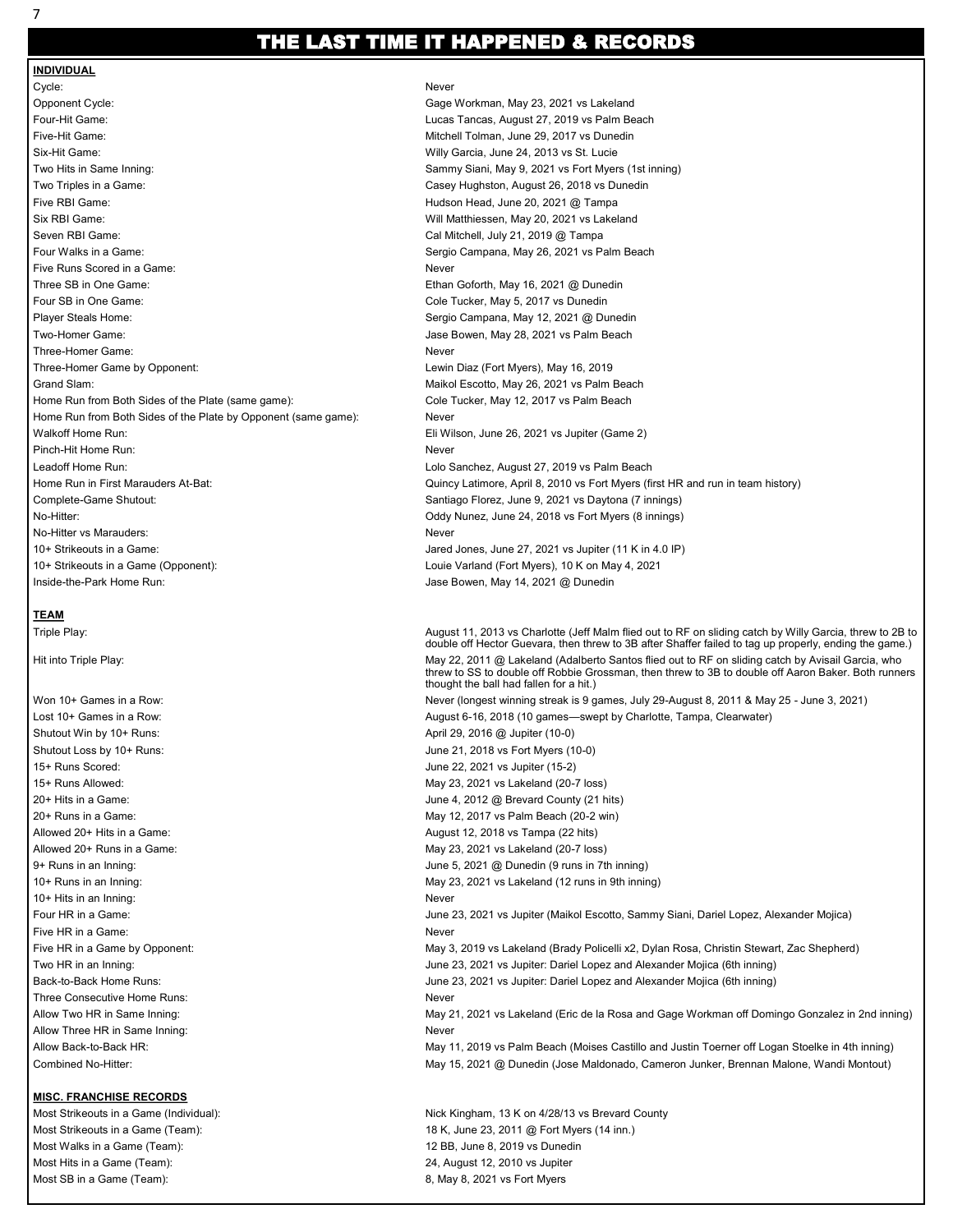## THE LAST TIME IT HAPPENED & RECORDS

#### **INDIVIDUAL** Cycle: Never Opponent Cycle: Gage Workman, May 23, 2021 vs Lakeland Four-Hit Game: Lucas Tancas, August 27, 2019 vs Palm Beach Five-Hit Game: Mitchell Tolman, June 29, 2017 vs Dunedin Six-Hit Game: Willy Garcia, June 24, 2013 vs St. Lucie Two Hits in Same Inning: Two Hits in Same Inning: Sammy Siani, May 9, 2021 vs Fort Myers (1st inning) Two Triples in a Game: Casey Hughston, August 26, 2018 vs Dunedin Five RBI Game: Hudson Head, June 20, 2021 @ Tampa Six RBI Game: Will Matthiessen, May 20, 2021 vs Lakeland Seven RBI Game: Cal Mitchell, July 21, 2019 @ Tampa Four Walks in a Game: Sergio Campana, May 26, 2021 vs Palm Beach Five Runs Scored in a Game: Never Three SB in One Game: The Game: Ethan Goforth, May 16, 2021 @ Dunedin Four SB in One Game: Cole Tucker, May 5, 2017 vs Dunedin Player Steals Home: Sergio Campana, May 12, 2021 @ Dunedin Two-Homer Game: Jase Bowen, May 28, 2021 vs Palm Beach Three-Homer Game: Never Three-Homer Game by Opponent: Came and Communication of Lewin Diaz (Fort Myers), May 16, 2019 Grand Slam: Maikol Escotto, May 26, 2021 vs Palm Beach Home Run from Both Sides of the Plate (same game): Cole Tucker, May 12, 2017 vs Palm Beach Home Run from Both Sides of the Plate by Opponent (same game): Never Walkoff Home Run: The Community of the Community Client Community Client Community Client Community Client Community Client Community Client Community Client Community Client Community Client Community Client Community Cli Pinch-Hit Home Run: Never Leadoff Home Run: Lolo Sanchez, August 27, 2019 vs Palm Beach Complete-Game Shutout: Santiago Florez, June 9, 2021 vs Daytona (7 innings) No-Hitter: Oddy Nunez, June 24, 2018 vs Fort Myers (8 innings) No-Hitter vs Marauders: Never 10+ Strikeouts in a Game: Jared Jones, June 27, 2021 vs Jupiter (11 K in 4.0 IP) 10+ Strikeouts in a Game (Opponent): Louie Varland (Fort Myers), 10 K on May 4, 2021 Inside-the-Park Home Run: Jase Bowen, May 14, 2021 @ Dunedin

#### **TEAM**

Shutout Win by 10+ Runs:  $\blacksquare$  April 29, 2016 @ Jupiter (10-0) 15+ Runs Scored: June 22, 2021 vs Jupiter (15-2) 10+ Hits in an Inning: Never Five HR in a Game: Never Three Consecutive Home Runs: Never Allow Three HR in Same Inning: Never Never Never Never Never

#### **MISC. FRANCHISE RECORDS**

Most Walks in a Game (Team): 12 BB, June 8, 2019 vs Dunedin Most Hits in a Game (Team): 24, August 12, 2010 vs Jupiter Most SB in a Game (Team): **8, May 8, 2021 vs Fort Myers** 8, May 8, 2021 vs Fort Myers

Home Run in First Marauders At-Bat: Quincy Latimore, April 8, 2010 vs Fort Myers (first HR and run in team history)

Triple Play: August 11, 2013 vs Charlotte (Jeff Malm flied out to RF on sliding catch by Willy Garcia, threw to 2B to double off Hector Guevara, then threw to 3B after Shaffer failed to tag up properly, ending the game.) Hit into Triple Play: May 22, 2011 @ Lakeland (Adalberto Santos flied out to RF on sliding catch by Avisail Garcia, who threw to SS to double off Robbie Grossman, then threw to 3B to double off Aaron Baker. Both runners thought the ball had fallen for a hit.) Won 10+ Games in a Row: Never (longest winning streak is 9 games, July 29-August 8, 2011 & May 25 - June 3, 2021) Lost 10+ Games in a Row: August 6-16, 2018 (10 games—swept by Charlotte, Tampa, Clearwater) Shutout Loss by 10+ Runs:  $\frac{1}{10}$  June 21, 2018 vs Fort Myers (10-0) 15+ Runs Allowed: May 23, 2021 vs Lakeland (20-7 loss) 20+ Hits in a Game: June 4, 2012 @ Brevard County (21 hits) 20+ Runs in a Game: May 12, 2017 vs Palm Beach (20-2 win) Allowed 20+ Hits in a Game: August 12, 2018 vs Tampa (22 hits) Allowed 20+ Runs in a Game: May 23, 2021 vs Lakeland (20-7 loss) 9+ Runs in an Inning: June 5, 2021 @ Dunedin (9 runs in 7th inning) 10+ Runs in an Inning: The May 23, 2021 vs Lakeland (12 runs in 9th inning) Four HR in a Game: June 23, 2021 vs Jupiter (Maikol Escotto, Sammy Siani, Dariel Lopez, Alexander Mojica) Five HR in a Game by Opponent: May 3, 2019 vs Lakeland (Brady Policelli x2, Dylan Rosa, Christin Stewart, Zac Shepherd) Two HR in an Inning: June 23, 2021 vs Jupiter: Dariel Lopez and Alexander Mojica (6th inning) Back-to-Back Home Runs: June 23, 2021 vs Jupiter: Dariel Lopez and Alexander Mojica (6th inning) Allow Two HR in Same Inning: example and the May 21, 2021 vs Lakeland (Eric de la Rosa and Gage Workman off Domingo Gonzalez in 2nd inning) Allow Back-to-Back HR: May 11, 2019 vs Palm Beach (Moises Castillo and Justin Toerner off Logan Stoelke in 4th inning) Combined No-Hitter: May 15, 2021 @ Dunedin (Jose Maldonado, Cameron Junker, Brennan Malone, Wandi Montout) Most Strikeouts in a Game (Individual): Nick Kingham, 13 K on 4/28/13 vs Brevard County

Most Strikeouts in a Game (Team): 18 K, June 23, 2011 @ Fort Myers (14 inn.)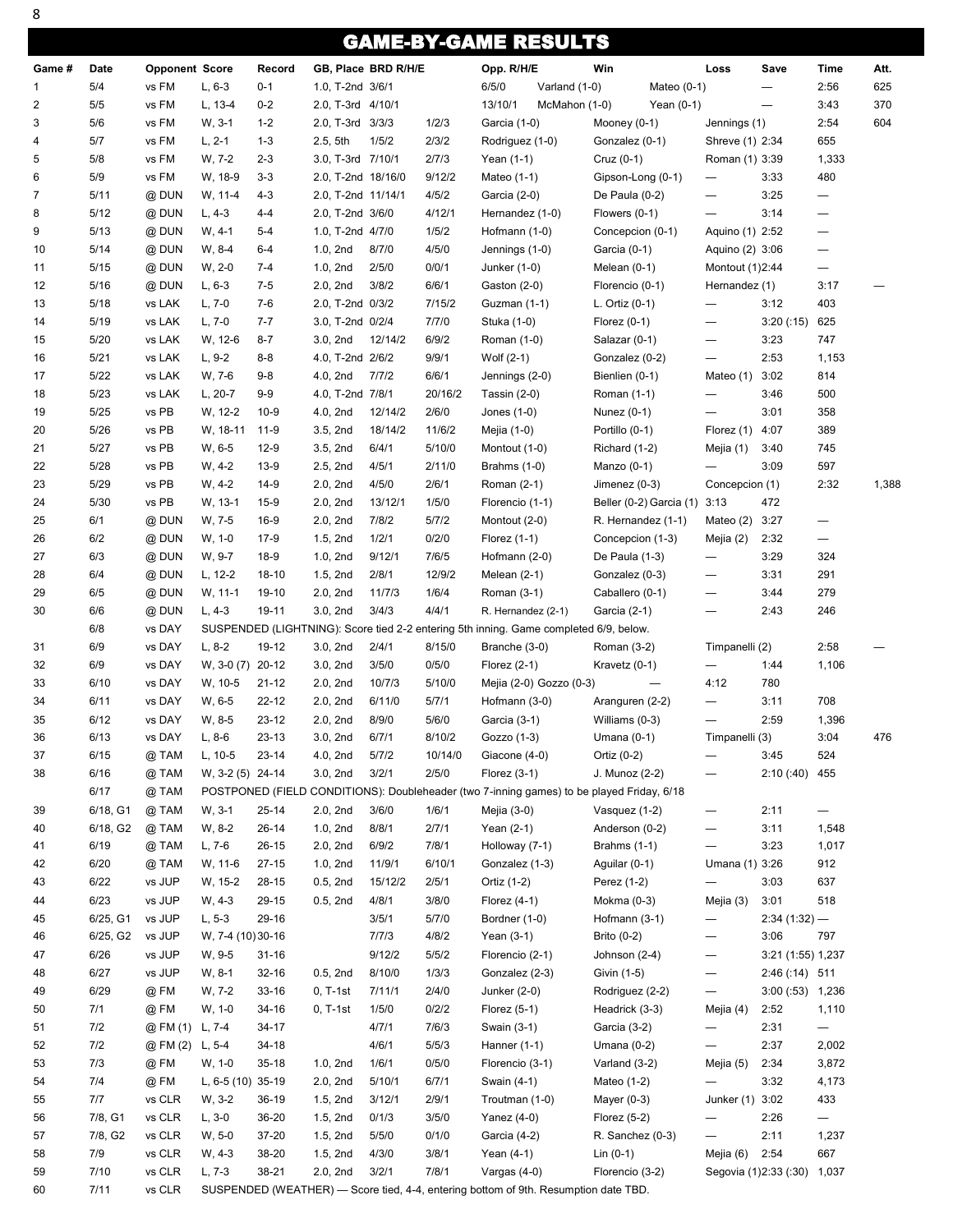# GAME-BY-GAME RESULTS

|                |          |                       |                   |           |                    |                     |         | <u>JAINLEP I -VAINL INLVVEI</u>                                                           |                          |               |                          |                          |                          |       |
|----------------|----------|-----------------------|-------------------|-----------|--------------------|---------------------|---------|-------------------------------------------------------------------------------------------|--------------------------|---------------|--------------------------|--------------------------|--------------------------|-------|
| Game #         | Date     | <b>Opponent Score</b> |                   | Record    |                    | GB, Place BRD R/H/E |         | Opp. R/H/E                                                                                | Win                      |               | Loss                     | Save                     | Time                     | Att.  |
| 1              | 5/4      | vs FM                 | $L, 6-3$          | $0 - 1$   | 1.0, T-2nd 3/6/1   |                     |         | 6/5/0<br>Varland (1-0)                                                                    |                          | Mateo $(0-1)$ |                          | $\qquad \qquad$          | 2:56                     | 625   |
| $\overline{c}$ | 5/5      | vs FM                 | L, 13-4           | $0 - 2$   | 2.0, T-3rd 4/10/1  |                     |         | 13/10/1<br>McMahon (1-0)                                                                  |                          | Yean $(0-1)$  |                          | $\overline{\phantom{0}}$ | 3:43                     | 370   |
| 3              | 5/6      | vs FM                 | W, 3-1            | $1 - 2$   | 2.0, T-3rd 3/3/3   |                     | 1/2/3   | Garcia (1-0)                                                                              | Mooney (0-1)             |               | Jennings (1)             |                          | 2:54                     | 604   |
| 4              | 5/7      | vs FM                 | $L, 2-1$          | $1 - 3$   | 2.5, 5th           | 1/5/2               | 2/3/2   | Rodriguez (1-0)                                                                           | Gonzalez (0-1)           |               | Shreve (1) 2:34          |                          | 655                      |       |
| 5              | 5/8      | vs FM                 | W, 7-2            | $2 - 3$   | 3.0, T-3rd 7/10/1  |                     | 2/7/3   | Yean (1-1)                                                                                | $Cruz(0-1)$              |               | Roman (1) 3:39           |                          | 1,333                    |       |
| 6              | 5/9      | vs FM                 | W, 18-9           | $3 - 3$   | 2.0, T-2nd 18/16/0 |                     | 9/12/2  | Mateo (1-1)                                                                               | Gipson-Long (0-1)        |               | $\qquad \qquad -$        | 3:33                     | 480                      |       |
| 7              | 5/11     | @ DUN                 | W, 11-4           | $4 - 3$   | 2.0, T-2nd 11/14/1 |                     | 4/5/2   | Garcia (2-0)                                                                              | De Paula (0-2)           |               | —                        | 3:25                     | $\qquad \qquad -$        |       |
| 8              | 5/12     | @ DUN                 | $L, 4-3$          | $4 - 4$   | 2.0, T-2nd 3/6/0   |                     | 4/12/1  | Hernandez (1-0)                                                                           | Flowers (0-1)            |               |                          | 3:14                     | —                        |       |
| 9              | 5/13     | @ DUN                 | $W, 4-1$          | $5 - 4$   | 1.0, T-2nd 4/7/0   |                     | 1/5/2   | Hofmann (1-0)                                                                             | Concepcion (0-1)         |               | Aquino (1) 2:52          |                          | $\overline{\phantom{0}}$ |       |
| 10             | 5/14     | @ DUN                 | W, 8-4            | $6 - 4$   | 1.0, 2nd           | 8/7/0               | 4/5/0   | Jennings (1-0)                                                                            | Garcia (0-1)             |               | Aquino (2) 3:06          |                          |                          |       |
|                |          |                       |                   |           | 1.0, 2nd           | 2/5/0               | 0/0/1   |                                                                                           |                          |               |                          |                          |                          |       |
| 11             | 5/15     | @ DUN                 | $W, 2-0$          | 7-4       |                    |                     |         | Junker (1-0)                                                                              | Melean $(0-1)$           |               | Montout (1)2:44          |                          | $\qquad \qquad -$        |       |
| 12             | 5/16     | @ DUN                 | $L, 6-3$          | $7-5$     | 2.0, 2nd           | 3/8/2               | 6/6/1   | Gaston (2-0)                                                                              | Florencio (0-1)          |               | Hernandez (1)            |                          | 3:17                     |       |
| 13             | 5/18     | vs LAK                | $L, 7-0$          | $7-6$     | 2.0, T-2nd 0/3/2   |                     | 7/15/2  | Guzman (1-1)                                                                              | L. Ortiz (0-1)           |               | —                        | 3:12                     | 403                      |       |
| 14             | 5/19     | vs LAK                | $L, 7-0$          | $7 - 7$   | 3.0, T-2nd 0/2/4   |                     | 7/7/0   | Stuka (1-0)                                                                               | Florez $(0-1)$           |               | —                        | 3:20(.15)                | 625                      |       |
| 15             | 5/20     | vs LAK                | W, 12-6           | $8 - 7$   | 3.0, 2nd           | 12/14/2             | 6/9/2   | Roman (1-0)                                                                               | Salazar (0-1)            |               | —                        | 3:23                     | 747                      |       |
| 16             | 5/21     | vs LAK                | $L, 9-2$          | $8 - 8$   | 4.0, T-2nd 2/6/2   |                     | 9/9/1   | Wolf (2-1)                                                                                | Gonzalez (0-2)           |               | —                        | 2:53                     | 1,153                    |       |
| 17             | 5/22     | vs LAK                | W, 7-6            | $9 - 8$   | 4.0, 2nd           | 7/7/2               | 6/6/1   | Jennings (2-0)                                                                            | Bienlien (0-1)           |               | Mateo (1)                | 3:02                     | 814                      |       |
| 18             | 5/23     | vs LAK                | $L, 20-7$         | $9 - 9$   | 4.0, T-2nd 7/8/1   |                     | 20/16/2 | Tassin $(2-0)$                                                                            | Roman (1-1)              |               | $\overline{\phantom{0}}$ | 3:46                     | 500                      |       |
| 19             | 5/25     | vs PB                 | W, 12-2           | $10-9$    | 4.0, 2nd           | 12/14/2             | 2/6/0   | Jones $(1-0)$                                                                             | Nunez (0-1)              |               | —                        | 3:01                     | 358                      |       |
| 20             | 5/26     | vs PB                 | W, 18-11          | $11-9$    | 3.5, 2nd           | 18/14/2             | 11/6/2  | Mejia (1-0)                                                                               | Portillo (0-1)           |               | Florez (1)               | 4:07                     | 389                      |       |
| 21             | 5/27     | vs PB                 | W, 6-5            | $12-9$    | 3.5, 2nd           | 6/4/1               | 5/10/0  | Montout (1-0)                                                                             | Richard (1-2)            |               | Mejia (1)                | 3:40                     | 745                      |       |
| 22             | 5/28     | vs PB                 | $W, 4-2$          | $13-9$    | 2.5, 2nd           | 4/5/1               | 2/11/0  | <b>Brahms (1-0)</b>                                                                       | Manzo $(0-1)$            |               |                          | 3:09                     | 597                      |       |
| 23             | 5/29     | vs PB                 | $W, 4-2$          | 14-9      | 2.0, 2nd           | 4/5/0               | 2/6/1   | Roman (2-1)                                                                               | Jimenez (0-3)            |               | Concepcion (1)           |                          | 2:32                     | 1,388 |
| 24             | 5/30     | vs PB                 | W, 13-1           | $15-9$    | 2.0, 2nd           | 13/12/1             | 1/5/0   | Florencio (1-1)                                                                           | Beller (0-2) Garcia (1)  |               | 3:13                     | 472                      |                          |       |
| 25             | 6/1      | @ DUN                 | W, 7-5            | 16-9      | 2.0, 2nd           | 7/8/2               | 5/7/2   | Montout (2-0)                                                                             | R. Hernandez (1-1)       |               | Mateo (2)                | 3:27                     | $\qquad \qquad -$        |       |
| 26             | 6/2      | @ DUN                 | $W, 1-0$          | $17-9$    | 1.5, 2nd           | 1/2/1               | 0/2/0   | Florez $(1-1)$                                                                            | Concepcion (1-3)         |               | Mejia (2)                | 2:32                     | $\qquad \qquad -$        |       |
| 27             | 6/3      | @ DUN                 | W, 9-7            | 18-9      | 1.0, 2nd           | 9/12/1              | 7/6/5   | Hofmann (2-0)                                                                             | De Paula (1-3)           |               | —                        | 3:29                     | 324                      |       |
| 28             | 6/4      | @ DUN                 | $L, 12-2$         | 18-10     | 1.5, 2nd           | 2/8/1               | 12/9/2  | Melean $(2-1)$                                                                            | Gonzalez (0-3)           |               | —                        | 3:31                     | 291                      |       |
|                |          |                       |                   |           |                    |                     |         |                                                                                           |                          |               |                          |                          |                          |       |
| 29             | 6/5      | @ DUN                 | W, 11-1           | 19-10     | 2.0, 2nd           | 11/7/3              | 1/6/4   | Roman (3-1)                                                                               | Caballero (0-1)          |               | $\qquad \qquad$          | 3:44                     | 279                      |       |
| 30             | 6/6      | @ DUN                 | $L, 4-3$          | 19-11     | 3.0, 2nd           | 3/4/3               | 4/4/1   | R. Hernandez (2-1)                                                                        | Garcia (2-1)             |               |                          | 2:43                     | 246                      |       |
|                | 6/8      | vs DAY                |                   |           |                    |                     |         | SUSPENDED (LIGHTNING): Score tied 2-2 entering 5th inning. Game completed 6/9, below.     |                          |               |                          |                          |                          |       |
| 31             | 6/9      | vs DAY                | $L, 8-2$          | 19-12     | 3.0, 2nd           | 2/4/1               | 8/15/0  | Branche (3-0)                                                                             | Roman (3-2)              |               | Timpanelli (2)           |                          | 2:58                     |       |
| 32             | 6/9      | vs DAY                | W, 3-0 (7) 20-12  |           | 3.0, 2nd           | 3/5/0               | 0/5/0   | Florez $(2-1)$                                                                            | Kravetz (0-1)            |               |                          | 1:44                     | 1,106                    |       |
| 33             | 6/10     | vs DAY                | W, 10-5           | $21 - 12$ | 2.0, 2nd           | 10/7/3              | 5/10/0  | Mejia (2-0) Gozzo (0-3)                                                                   | $\overline{\phantom{0}}$ |               | 4:12                     | 780                      |                          |       |
| 34             | 6/11     | vs DAY                | W, 6-5            | 22-12     | 2.0, 2nd           | 6/11/0              | 5/7/1   | Hofmann (3-0)                                                                             | Aranguren (2-2)          |               | —                        | 3:11                     | 708                      |       |
| 35             | 6/12     | vs DAY                | W, 8-5            | $23 - 12$ | 2.0, 2nd           | 8/9/0               | 5/6/0   | Garcia (3-1)                                                                              | Williams (0-3)           |               | $\overline{\phantom{0}}$ | 2:59                     | 1,396                    |       |
| 36             | 6/13     | vs DAY                | $L, 8-6$          | $23-13$   | 3.0, 2nd           | 6/7/1               | 8/10/2  | Gozzo (1-3)                                                                               | Umana $(0-1)$            |               | Timpanelli (3)           |                          | 3:04                     | 476   |
| 37             | 6/15     | @ TAM                 | L, 10-5           | $23 - 14$ | 4.0, 2nd           | 5/7/2               | 10/14/0 | Giacone (4-0)                                                                             | Ortiz (0-2)              |               |                          | 3:45                     | 524                      |       |
| 38             | 6/16     | @ TAM                 | W, 3-2 (5) 24-14  |           | 3.0, 2nd           | 3/2/1               | 2/5/0   | Florez $(3-1)$                                                                            | J. Munoz (2-2)           |               |                          | 2:10(.40)                | 455                      |       |
|                | 6/17     | @ TAM                 |                   |           |                    |                     |         | POSTPONED (FIELD CONDITIONS): Doubleheader (two 7-inning games) to be played Friday, 6/18 |                          |               |                          |                          |                          |       |
| 39             | 6/18, G1 | @ TAM                 | W, 3-1            | 25-14     | 2.0, 2nd           | 3/6/0               | 1/6/1   | Mejia (3-0)                                                                               | Vasquez (1-2)            |               | $\overline{\phantom{0}}$ | 2:11                     |                          |       |
| 40             | 6/18, G2 | @ TAM                 | W, 8-2            | $26 - 14$ | 1.0, 2nd           | 8/8/1               | 2/7/1   | Yean (2-1)                                                                                | Anderson (0-2)           |               |                          | 3:11                     | 1,548                    |       |
| 41             | 6/19     | @ TAM                 | $L, 7-6$          | $26 - 15$ | 2.0, 2nd           | 6/9/2               | 7/8/1   | Holloway (7-1)                                                                            | Brahms (1-1)             |               | $\overline{\phantom{0}}$ | 3:23                     | 1,017                    |       |
| 42             | 6/20     | @ TAM                 | W. 11-6           | $27-15$   | 1.0, 2nd           | 11/9/1              | 6/10/1  | Gonzalez (1-3)                                                                            | Aguilar (0-1)            |               | Umana (1) 3:26           |                          | 912                      |       |
| 43             | 6/22     | vs JUP                | W, 15-2           | 28-15     | 0.5, 2nd           | 15/12/2             | 2/5/1   | Ortiz (1-2)                                                                               | Perez (1-2)              |               | $\overline{\phantom{0}}$ | 3:03                     | 637                      |       |
| 44             | 6/23     | vs JUP                | W, 4-3            | 29-15     | 0.5, 2nd           | 4/8/1               | 3/8/0   | Florez $(4-1)$                                                                            | Mokma (0-3)              |               | Mejia (3)                | 3:01                     | 518                      |       |
|                | 6/25, G1 | vs JUP                | $L, 5-3$          | 29-16     |                    | 3/5/1               | 5/7/0   | Bordner (1-0)                                                                             | Hofmann (3-1)            |               |                          |                          |                          |       |
| 45             |          |                       |                   |           |                    |                     |         |                                                                                           |                          |               | —                        | $2:34(1:32)$ —           |                          |       |
| 46             | 6/25, G2 | vs JUP                | W, 7-4 (10) 30-16 |           |                    | 7/7/3               | 4/8/2   | Yean $(3-1)$                                                                              | Brito (0-2)              |               | $\qquad \qquad -$        | 3:06                     | 797                      |       |
| 47             | 6/26     | vs JUP                | W, 9-5            | $31 - 16$ |                    | 9/12/2              | 5/5/2   | Florencio (2-1)                                                                           | Johnson (2-4)            |               | $\overline{\phantom{0}}$ | 3:21 (1:55) 1,237        |                          |       |
| 48             | 6/27     | vs JUP                | W, 8-1            | $32 - 16$ | 0.5, 2nd           | 8/10/0              | 1/3/3   | Gonzalez (2-3)                                                                            | Givin (1-5)              |               | $\overline{\phantom{0}}$ | 2:46 (:14) 511           |                          |       |
| 49             | 6/29     | @FM                   | W, 7-2            | 33-16     | $0, T-1st$         | 7/11/1              | 2/4/0   | Junker (2-0)                                                                              | Rodriguez (2-2)          |               | —                        | $3:00(.53)$ 1,236        |                          |       |
| 50             | 7/1      | @FM                   | $W, 1-0$          | 34-16     | $0, T-1st$         | 1/5/0               | 0/2/2   | Florez $(5-1)$                                                                            | Headrick (3-3)           |               | Mejia (4)                | 2:52                     | 1,110                    |       |
| 51             | 7/2      | @ FM (1)              | $L, 7-4$          | 34-17     |                    | 4/7/1               | 7/6/3   | Swain (3-1)                                                                               | Garcia (3-2)             |               | $\overline{\phantom{0}}$ | 2:31                     | $\qquad \qquad -$        |       |
| 52             | 7/2      | @ FM (2)              | $L, 5-4$          | 34-18     |                    | 4/6/1               | 5/5/3   | Hanner (1-1)                                                                              | Umana $(0-2)$            |               | —                        | 2:37                     | 2,002                    |       |
| 53             | 7/3      | @FM                   | $W, 1-0$          | $35-18$   | 1.0, 2nd           | 1/6/1               | 0/5/0   | Florencio (3-1)                                                                           | Varland (3-2)            |               | Mejia (5)                | 2:34                     | 3,872                    |       |
| 54             | 7/4      | @ FM                  | L, 6-5 (10) 35-19 |           | 2.0, 2nd           | 5/10/1              | 6/7/1   | Swain (4-1)                                                                               | Mateo (1-2)              |               | —                        | 3:32                     | 4,173                    |       |
| 55             | 7/7      | vs CLR                | W, 3-2            | 36-19     | 1.5, 2nd           | 3/12/1              | 2/9/1   | Troutman (1-0)                                                                            | Mayer $(0-3)$            |               | Junker (1) 3:02          |                          | 433                      |       |
| 56             | 7/8, G1  | vs CLR                | $L, 3-0$          | 36-20     | 1.5, 2nd           | 0/1/3               | 3/5/0   | Yanez $(4-0)$                                                                             | Florez $(5-2)$           |               | —                        | 2:26                     | $\qquad \qquad -$        |       |
| 57             | 7/8, G2  | vs CLR                | $W, 5-0$          | 37-20     | 1.5, 2nd           | 5/5/0               | 0/1/0   | Garcia (4-2)                                                                              | R. Sanchez (0-3)         |               | $\overline{\phantom{0}}$ | 2:11                     | 1,237                    |       |
| 58             | 7/9      | vs CLR                | $W, 4-3$          | 38-20     | 1.5, 2nd           | 4/3/0               | 3/8/1   | Yean (4-1)                                                                                | $Lin (0-1)$              |               | Mejia (6)                | 2:54                     | 667                      |       |
| 59             | 7/10     | vs CLR                | L, 7-3            | 38-21     | 2.0, 2nd           | 3/2/1               | 7/8/1   | Vargas $(4-0)$                                                                            | Florencio (3-2)          |               |                          | Segovia (1)2:33 (:30)    | 1,037                    |       |
| 60             | 7/11     | vs CLR                |                   |           |                    |                     |         | SUSPENDED (WEATHER) - Score tied, 4-4, entering bottom of 9th. Resumption date TBD.       |                          |               |                          |                          |                          |       |
|                |          |                       |                   |           |                    |                     |         |                                                                                           |                          |               |                          |                          |                          |       |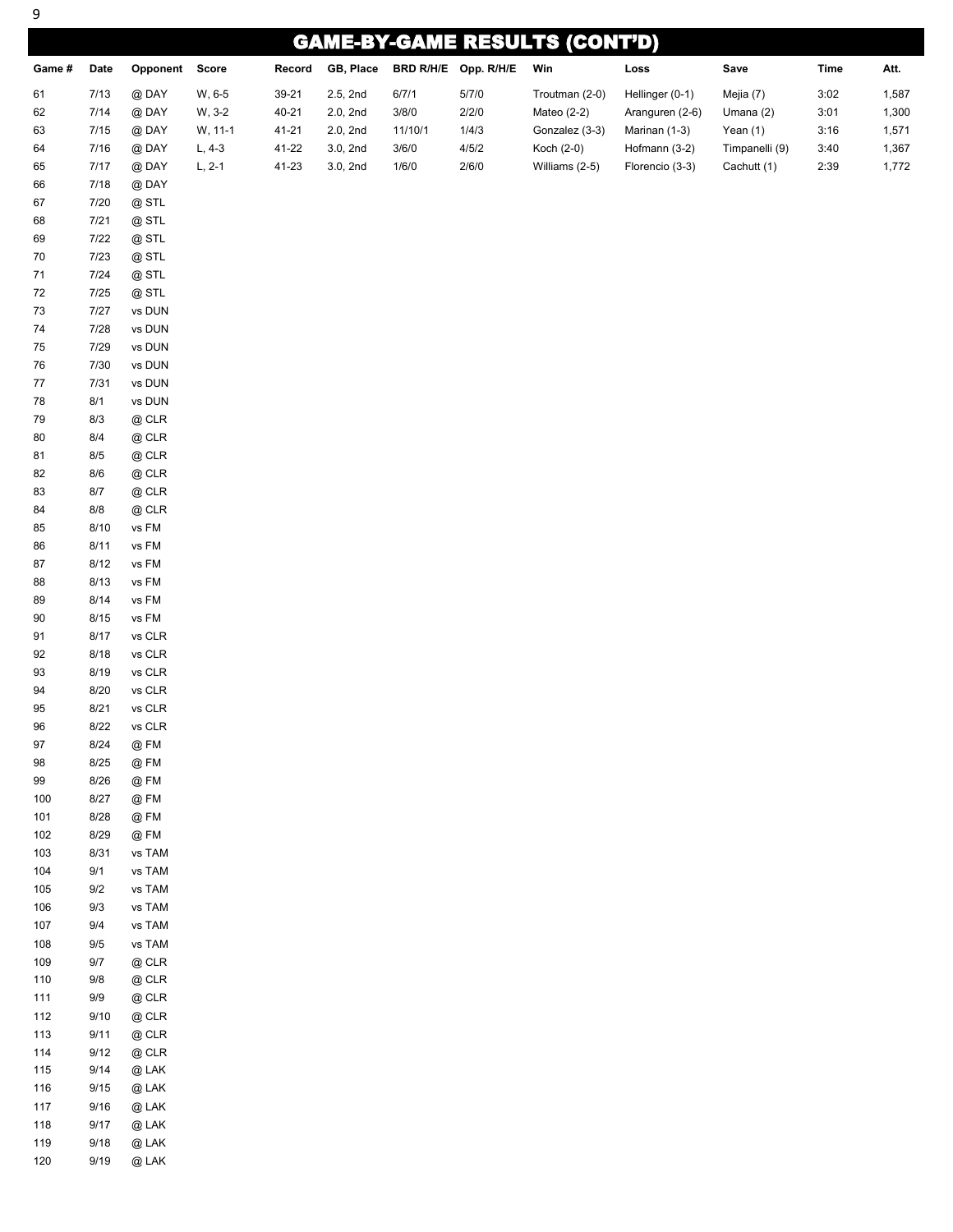| 9        |                                      |                                       |          |        |           |         |                      |                |                 |                |      |       |
|----------|--------------------------------------|---------------------------------------|----------|--------|-----------|---------|----------------------|----------------|-----------------|----------------|------|-------|
|          | <b>GAME-BY-GAME RESULTS (CONT'D)</b> |                                       |          |        |           |         |                      |                |                 |                |      |       |
| Game #   | Date                                 | Opponent Score                        |          | Record | GB, Place |         | BRD R/H/E Opp. R/H/E | Win            | Loss            | Save           | Time | Att.  |
| 61       | 7/13                                 | @DAY                                  | W, 6-5   | 39-21  | 2.5, 2nd  | 6/7/1   | 5/7/0                | Troutman (2-0) | Hellinger (0-1) | Mejia (7)      | 3:02 | 1,587 |
| 62       | 7/14                                 | @DAY                                  | W, 3-2   | 40-21  | 2.0, 2nd  | 3/8/0   | 2/2/0                | Mateo (2-2)    | Aranguren (2-6) | Umana $(2)$    | 3:01 | 1,300 |
| 63       | 7/15                                 | @DAY                                  | W, 11-1  | 41-21  | 2.0, 2nd  | 11/10/1 | 1/4/3                | Gonzalez (3-3) | Marinan (1-3)   | Yean $(1)$     | 3:16 | 1,571 |
| 64       | 7/16                                 | @DAY                                  | $L, 4-3$ | 41-22  | 3.0, 2nd  | 3/6/0   | 4/5/2                | Koch (2-0)     | Hofmann (3-2)   | Timpanelli (9) | 3:40 | 1,367 |
| 65       | 7/17                                 | @DAY                                  | $L, 2-1$ | 41-23  | 3.0, 2nd  | 1/6/0   | 2/6/0                | Williams (2-5) | Florencio (3-3) | Cachutt (1)    | 2:39 | 1,772 |
| 66       | 7/18                                 | @DAY                                  |          |        |           |         |                      |                |                 |                |      |       |
| 67       | 7/20                                 | @STL                                  |          |        |           |         |                      |                |                 |                |      |       |
| 68       | 7/21                                 | @ STL                                 |          |        |           |         |                      |                |                 |                |      |       |
| 69       | 7/22                                 | @ STL                                 |          |        |           |         |                      |                |                 |                |      |       |
| 70       | 7/23                                 | @STL                                  |          |        |           |         |                      |                |                 |                |      |       |
| 71       | 7/24                                 | @STL                                  |          |        |           |         |                      |                |                 |                |      |       |
| 72       | 7/25                                 | @STL                                  |          |        |           |         |                      |                |                 |                |      |       |
| 73       | 7/27                                 | vs DUN                                |          |        |           |         |                      |                |                 |                |      |       |
| 74       | 7/28                                 | vs DUN                                |          |        |           |         |                      |                |                 |                |      |       |
| 75       | 7/29                                 | vs DUN                                |          |        |           |         |                      |                |                 |                |      |       |
| 76       | 7/30                                 | vs DUN                                |          |        |           |         |                      |                |                 |                |      |       |
| 77       | 7/31                                 | vs DUN                                |          |        |           |         |                      |                |                 |                |      |       |
| 78       | 8/1                                  | vs DUN                                |          |        |           |         |                      |                |                 |                |      |       |
| 79       | 8/3                                  | @ CLR                                 |          |        |           |         |                      |                |                 |                |      |       |
| 80       | 8/4                                  | @ CLR                                 |          |        |           |         |                      |                |                 |                |      |       |
| 81       | 8/5                                  | @ CLR                                 |          |        |           |         |                      |                |                 |                |      |       |
| 82       | 8/6                                  | @ CLR                                 |          |        |           |         |                      |                |                 |                |      |       |
| 83       | 8/7                                  | @ CLR                                 |          |        |           |         |                      |                |                 |                |      |       |
| 84       | 8/8                                  | $@$ CLR                               |          |        |           |         |                      |                |                 |                |      |       |
| 85       | 8/10                                 | vs FM                                 |          |        |           |         |                      |                |                 |                |      |       |
| 86       | 8/11                                 | vs FM                                 |          |        |           |         |                      |                |                 |                |      |       |
| 87       | 8/12                                 | vs FM                                 |          |        |           |         |                      |                |                 |                |      |       |
| 88       | 8/13                                 | vs FM                                 |          |        |           |         |                      |                |                 |                |      |       |
| 89       | 8/14                                 | vs FM                                 |          |        |           |         |                      |                |                 |                |      |       |
| 90       | 8/15                                 | vs FM                                 |          |        |           |         |                      |                |                 |                |      |       |
| 91       | 8/17                                 | $\mathsf{vs}\ \mathsf{CLR}$           |          |        |           |         |                      |                |                 |                |      |       |
| 92       | 8/18                                 | vs CLR                                |          |        |           |         |                      |                |                 |                |      |       |
| 93<br>94 | 8/19<br>8/20                         | $\mathsf{vs}\ \mathsf{CLR}$<br>vs CLR |          |        |           |         |                      |                |                 |                |      |       |
| 95       | 8/21                                 | vs CLR                                |          |        |           |         |                      |                |                 |                |      |       |
| 96       | 8/22                                 | $\mathsf{vs}\ \mathsf{CLR}$           |          |        |           |         |                      |                |                 |                |      |       |
| 97       | 8/24                                 | $@$ FM                                |          |        |           |         |                      |                |                 |                |      |       |
| 98       | 8/25                                 | $@$ FM                                |          |        |           |         |                      |                |                 |                |      |       |
| 99       | 8/26                                 | $@$ FM                                |          |        |           |         |                      |                |                 |                |      |       |
| 100      | 8/27                                 | @FM                                   |          |        |           |         |                      |                |                 |                |      |       |
| 101      | 8/28                                 | @FM                                   |          |        |           |         |                      |                |                 |                |      |       |
| 102      | 8/29                                 | $@$ FM                                |          |        |           |         |                      |                |                 |                |      |       |
| 103      | 8/31                                 | vs TAM                                |          |        |           |         |                      |                |                 |                |      |       |
| 104      | 9/1                                  | vs TAM                                |          |        |           |         |                      |                |                 |                |      |       |
| 105      | 9/2                                  | vs TAM                                |          |        |           |         |                      |                |                 |                |      |       |
| 106      | 9/3                                  | vs TAM                                |          |        |           |         |                      |                |                 |                |      |       |
| 107      | 9/4                                  | vs TAM                                |          |        |           |         |                      |                |                 |                |      |       |
| 108      | 9/5                                  | vs TAM                                |          |        |           |         |                      |                |                 |                |      |       |
| 109      | 9/7                                  | $@$ CLR                               |          |        |           |         |                      |                |                 |                |      |       |
| 110      | 9/8                                  | $@$ CLR                               |          |        |           |         |                      |                |                 |                |      |       |
| 111      | 9/9                                  | $@$ CLR                               |          |        |           |         |                      |                |                 |                |      |       |
| 112      | 9/10                                 | $@$ CLR                               |          |        |           |         |                      |                |                 |                |      |       |
| 113      | 9/11                                 | $@$ CLR                               |          |        |           |         |                      |                |                 |                |      |       |
| 114      | 9/12                                 | $@$ CLR                               |          |        |           |         |                      |                |                 |                |      |       |
| 115      | 9/14                                 | $@$ LAK                               |          |        |           |         |                      |                |                 |                |      |       |
| 116      | 9/15                                 | $\textcircled{a}$ LAK                 |          |        |           |         |                      |                |                 |                |      |       |
| 117      | 9/16                                 | $@$ LAK                               |          |        |           |         |                      |                |                 |                |      |       |
| 118      | 9/17                                 | @ LAK                                 |          |        |           |         |                      |                |                 |                |      |       |
| 119      | 9/18                                 | $@$ LAK                               |          |        |           |         |                      |                |                 |                |      |       |
| 120      | 9/19                                 | $@$ LAK                               |          |        |           |         |                      |                |                 |                |      |       |